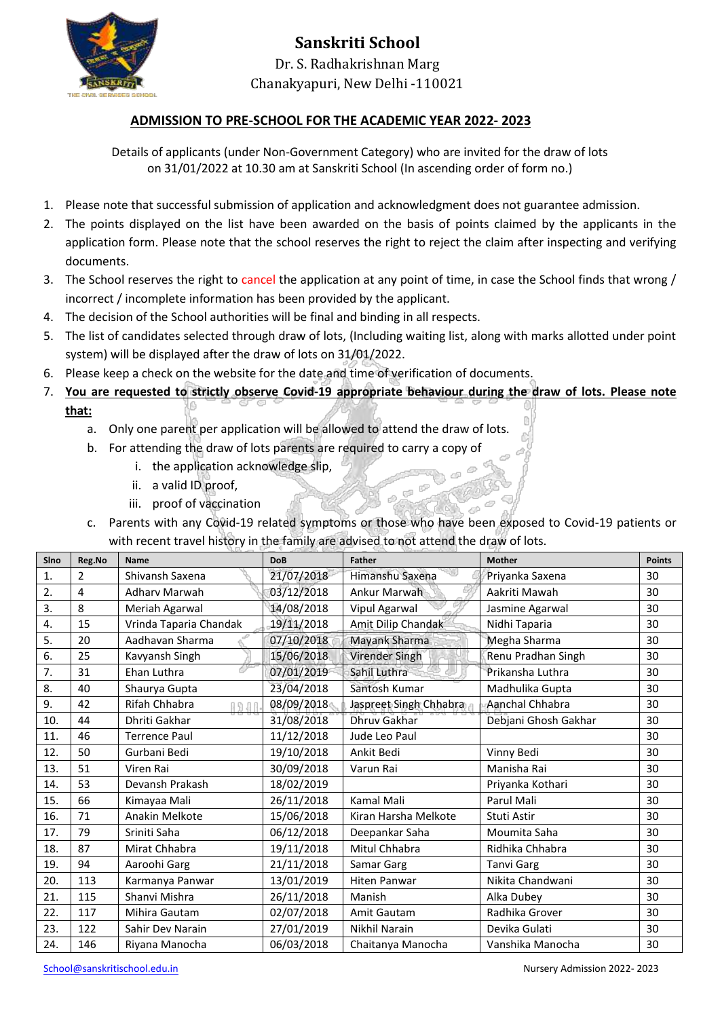

#### **ADMISSION TO PRE-SCHOOL FOR THE ACADEMIC YEAR 2022- 2023**

Details of applicants (under Non-Government Category) who are invited for the draw of lots on 31/01/2022 at 10.30 am at Sanskriti School (In ascending order of form no.)

- 1. Please note that successful submission of application and acknowledgment does not guarantee admission.
- 2. The points displayed on the list have been awarded on the basis of points claimed by the applicants in the application form. Please note that the school reserves the right to reject the claim after inspecting and verifying documents.
- 3. The School reserves the right to cancel the application at any point of time, in case the School finds that wrong / incorrect / incomplete information has been provided by the applicant.
- 4. The decision of the School authorities will be final and binding in all respects.
- 5. The list of candidates selected through draw of lots, (Including waiting list, along with marks allotted under point system) will be displayed after the draw of lots on 31/01/2022.
- 6. Please keep a check on the website for the date and time of verification of documents.
- 7. **You are requested to strictly observe Covid-19 appropriate behaviour during the draw of lots. Please note that:**
	- a. Only one parent per application will be allowed to attend the draw of lots.
	- b. For attending the draw of lots parents are required to carry a copy of
		- i. the application acknowledge slip,
		- ii. a valid ID proof,
		- iii. proof of vaccination
	- c. Parents with any Covid-19 related symptoms or those who have been exposed to Covid-19 patients or with recent travel history in the family are advised to not attend the draw of lots.

| Sino | Reg.No         | <b>Name</b>            | <b>DoB</b> | <b>Father</b>          | <b>Mother</b>        | <b>Points</b> |
|------|----------------|------------------------|------------|------------------------|----------------------|---------------|
| 1.   | $\overline{2}$ | Shivansh Saxena        | 21/07/2018 | Himanshu Saxena        | Priyanka Saxena      | 30            |
| 2.   | 4              | <b>Adhary Marwah</b>   | 03/12/2018 | Ankur Marwah           | Aakriti Mawah        | 30            |
| 3.   | 8              | Meriah Agarwal         | 14/08/2018 | Vipul Agarwal          | Jasmine Agarwal      | 30            |
| 4.   | 15             | Vrinda Taparia Chandak | 19/11/2018 | Amit Dilip Chandak     | Nidhi Taparia        | 30            |
| 5.   | 20             | Aadhavan Sharma        | 07/10/2018 | Mayank Sharma          | Megha Sharma         | 30            |
| 6.   | 25             | Kavyansh Singh         | 15/06/2018 | <b>Virender Singh</b>  | Renu Pradhan Singh   | 30            |
| 7.   | 31             | Ehan Luthra            | 07/01/2019 | Sahil Luthra           | Prikansha Luthra     | 30            |
| 8.   | 40             | Shaurya Gupta          | 23/04/2018 | Santosh Kumar          | Madhulika Gupta      | 30            |
| 9.   | 42             | Rifah Chhabra          | 08/09/2018 | Jaspreet Singh Chhabra | Aanchal Chhabra      | 30            |
| 10.  | 44             | Dhriti Gakhar          | 31/08/2018 | <b>Dhruv Gakhar</b>    | Debjani Ghosh Gakhar | 30            |
| 11.  | 46             | <b>Terrence Paul</b>   | 11/12/2018 | Jude Leo Paul          |                      | 30            |
| 12.  | 50             | Gurbani Bedi           | 19/10/2018 | Ankit Bedi             | Vinny Bedi           | 30            |
| 13.  | 51             | Viren Rai              | 30/09/2018 | Varun Rai              | Manisha Rai          | 30            |
| 14.  | 53             | Devansh Prakash        | 18/02/2019 |                        | Priyanka Kothari     | 30            |
| 15.  | 66             | Kimayaa Mali           | 26/11/2018 | Kamal Mali             | Parul Mali           | 30            |
| 16.  | 71             | Anakin Melkote         | 15/06/2018 | Kiran Harsha Melkote   | Stuti Astir          | 30            |
| 17.  | 79             | Sriniti Saha           | 06/12/2018 | Deepankar Saha         | Moumita Saha         | 30            |
| 18.  | 87             | Mirat Chhabra          | 19/11/2018 | Mitul Chhabra          | Ridhika Chhabra      | 30            |
| 19.  | 94             | Aaroohi Garg           | 21/11/2018 | Samar Garg             | <b>Tanvi Garg</b>    | 30            |
| 20.  | 113            | Karmanya Panwar        | 13/01/2019 | <b>Hiten Panwar</b>    | Nikita Chandwani     | 30            |
| 21.  | 115            | Shanvi Mishra          | 26/11/2018 | Manish                 | Alka Dubey           | 30            |
| 22.  | 117            | Mihira Gautam          | 02/07/2018 | Amit Gautam            | Radhika Grover       | 30            |
| 23.  | 122            | Sahir Dev Narain       | 27/01/2019 | Nikhil Narain          | Devika Gulati        | 30            |
| 24.  | 146            | Riyana Manocha         | 06/03/2018 | Chaitanya Manocha      | Vanshika Manocha     | 30            |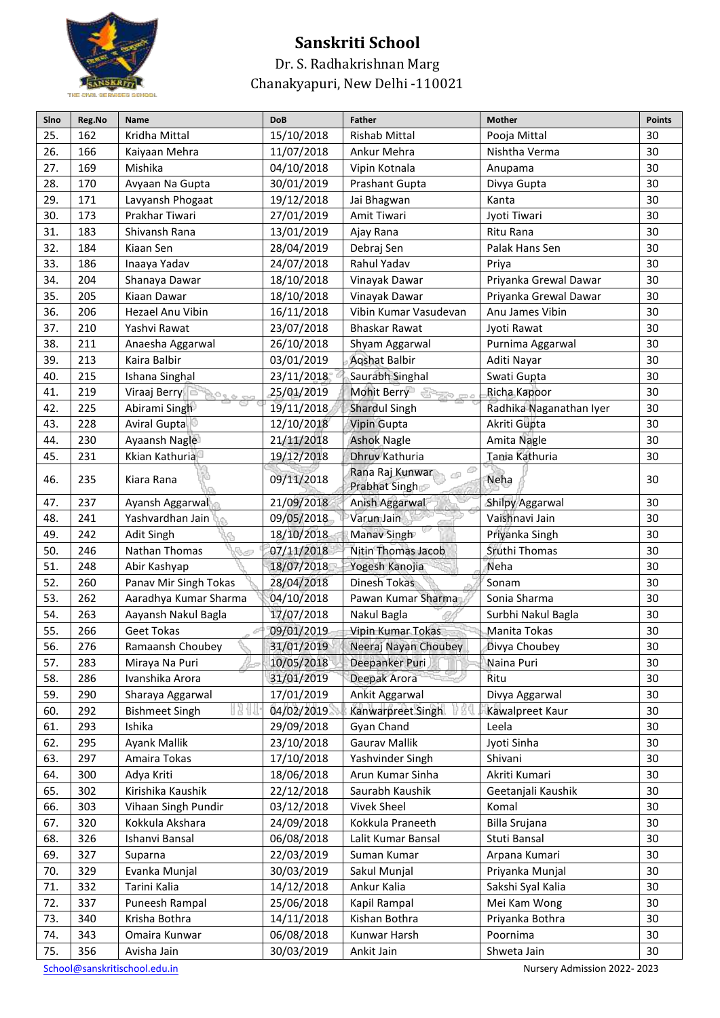

Dr. S. Radhakrishnan Marg Chanakyapuri, New Delhi -110021

| 25.<br>162<br>30<br>Kridha Mittal<br>15/10/2018<br><b>Rishab Mittal</b><br>Pooja Mittal<br>30<br>26.<br>166<br>11/07/2018<br>Ankur Mehra<br>Nishtha Verma<br>Kaiyaan Mehra<br>27.<br>30<br>169<br>Mishika<br>04/10/2018<br>Vipin Kotnala<br>Anupama<br>28.<br>170<br>30<br>Avyaan Na Gupta<br>30/01/2019<br>Prashant Gupta<br>Divya Gupta<br>30<br>29.<br>171<br>19/12/2018<br>Lavyansh Phogaat<br>Jai Bhagwan<br>Kanta<br>30<br>30.<br>173<br>Prakhar Tiwari<br>27/01/2019<br>Amit Tiwari<br>Jyoti Tiwari<br>31.<br>Shivansh Rana<br>30<br>183<br>13/01/2019<br>Ritu Rana<br>Ajay Rana<br>32.<br>184<br>30<br>Kiaan Sen<br>28/04/2019<br>Palak Hans Sen<br>Debraj Sen<br>33.<br>30<br>186<br>Inaaya Yadav<br>24/07/2018<br>Rahul Yadav<br>Priya<br>30<br>204<br>34.<br>Shanaya Dawar<br>18/10/2018<br>Vinayak Dawar<br>Priyanka Grewal Dawar<br>35.<br>30<br>205<br>18/10/2018<br>Vinayak Dawar<br>Priyanka Grewal Dawar<br>Kiaan Dawar<br>36.<br>206<br>Anu James Vibin<br>30<br>Hezael Anu Vibin<br>16/11/2018<br>Vibin Kumar Vasudevan<br>37.<br>210<br>30<br>Yashvi Rawat<br>23/07/2018<br><b>Bhaskar Rawat</b><br>Jyoti Rawat<br>38.<br>211<br>30<br>26/10/2018<br>Purnima Aggarwal<br>Anaesha Aggarwal<br>Shyam Aggarwal<br>213<br>30<br>39.<br>Kaira Balbir<br>03/01/2019<br><b>Aqshat Balbir</b><br>Aditi Nayar<br>40.<br>215<br>30<br>23/11/2018<br>Saurabh Singhal<br>Swati Gupta<br>Ishana Singhal<br>41.<br>30<br>219<br>25/01/2019<br>Mohit Berry<br>Viraaj Berry<br>Richa Kapoor<br>al mar<br>42.<br>225<br>30<br>Abirami Singh<br>19/11/2018<br>Shardul Singh<br>Radhika Naganathan Iyer<br>43.<br>228<br>12/10/2018<br>30<br><b>Aviral Gupta</b><br><b>Vipin Gupta</b><br>Akriti Gupta<br>30<br>21/11/2018<br>44.<br>230<br>Ayaansh Nagle<br><b>Ashok Nagle</b><br>Amita Nagle<br>45.<br>Kkian Kathuria<br>19/12/2018<br>Dhruv Kathuria<br>Tania Kathuria<br>30<br>231<br>Rana Raj Kunwar<br>46.<br>235<br>09/11/2018<br>Neha<br>30<br>Kiara Rana<br>Prabhat Singh<br>30<br>47.<br>237<br>21/09/2018<br>Anish Aggarwal<br>Shilpy Aggarwal<br>Ayansh Aggarwal<br>48.<br>09/05/2018<br>Varun Jain<br>30<br>241<br>Yashvardhan Jain<br>Vaishnavi Jain<br>242<br>30<br>49.<br>18/10/2018<br>Manav Singh<br>Priyanka Singh<br>Adit Singh<br>50.<br>246<br>Nathan Thomas<br>30<br>07/11/2018<br>Nitin Thomas Jacob<br>Sruthi Thomas<br>51.<br>30<br>248<br>18/07/2018<br>Yogesh Kanojia<br>Neha<br>Abir Kashyap<br>52.<br>Dinesh Tokas<br>30<br>260<br>Panav Mir Singh Tokas<br>28/04/2018<br>Sonam<br>53.<br>262<br>Pawan Kumar Sharma<br>Sonia Sharma<br>30<br>Aaradhya Kumar Sharma<br>04/10/2018<br>30<br>54.<br>263<br>Aayansh Nakul Bagla<br>17/07/2018<br>Nakul Bagla<br>Surbhi Nakul Bagla<br>55.<br>09/01/2019<br>30<br>266<br><b>Geet Tokas</b><br>Vipin Kumar Tokas<br>Manita Tokas<br>56.<br>276<br>30<br>Ramaansh Choubey<br>31/01/2019<br>Neeraj Nayan Choubey<br>Divya Choubey<br>10/05/2018<br>Deepanker Puri<br>283<br>30<br>57.<br>Miraya Na Puri<br>Naina Puri<br>31/01/2019<br>Deepak Arora<br>30<br>58.<br>286<br>Ivanshika Arora<br>Ritu<br>Divya Aggarwal<br>30<br>59.<br>290<br>Sharaya Aggarwal<br>17/01/2019<br>Ankit Aggarwal<br>292<br>60.<br><b>Bishmeet Singh</b><br>04/02/2019<br>Kanwarpreet Singh<br>30<br>Kawalpreet Kaur<br>61.<br>293<br>Ishika<br>29/09/2018<br>Gyan Chand<br>30<br>Leela<br>Ayank Mallik<br>295<br>23/10/2018<br><b>Gaurav Mallik</b><br>30<br>62.<br>Jyoti Sinha<br>297<br>30<br>63.<br>Amaira Tokas<br>17/10/2018<br>Yashvinder Singh<br>Shivani<br>30<br>300<br>Adya Kriti<br>18/06/2018<br>Arun Kumar Sinha<br>Akriti Kumari<br>64.<br>302<br>65.<br>Kirishika Kaushik<br>22/12/2018<br>Saurabh Kaushik<br>30<br>Geetanjali Kaushik<br><b>Vivek Sheel</b><br>30<br>66.<br>303<br>Vihaan Singh Pundir<br>03/12/2018<br>Komal<br>320<br>Kokkula Akshara<br>Kokkula Praneeth<br>30<br>67.<br>24/09/2018<br>Billa Srujana<br>326<br>30<br>68.<br>Ishanvi Bansal<br>06/08/2018<br>Lalit Kumar Bansal<br>Stuti Bansal<br>327<br>22/03/2019<br>Suman Kumar<br>30<br>69.<br>Arpana Kumari<br>Suparna<br>70.<br>329<br>30/03/2019<br>Sakul Munjal<br>Priyanka Munjal<br>30<br>Evanka Munjal<br>332<br>71.<br>Tarini Kalia<br>14/12/2018<br>Ankur Kalia<br>Sakshi Syal Kalia<br>30<br>337<br>25/06/2018<br>30<br>72.<br>Puneesh Rampal<br>Kapil Rampal<br>Mei Kam Wong<br>30<br>73.<br>340<br>Krisha Bothra<br>14/11/2018<br>Kishan Bothra<br>Priyanka Bothra<br>06/08/2018<br>74.<br>343<br>Omaira Kunwar<br>Kunwar Harsh<br>Poornima<br>30<br>75.<br>356<br>30/03/2019<br>Shweta Jain<br>30<br>Avisha Jain<br>Ankit Jain | Sino | Reg.No | Name | <b>DoB</b> | <b>Father</b> | <b>Mother</b> | <b>Points</b> |
|---------------------------------------------------------------------------------------------------------------------------------------------------------------------------------------------------------------------------------------------------------------------------------------------------------------------------------------------------------------------------------------------------------------------------------------------------------------------------------------------------------------------------------------------------------------------------------------------------------------------------------------------------------------------------------------------------------------------------------------------------------------------------------------------------------------------------------------------------------------------------------------------------------------------------------------------------------------------------------------------------------------------------------------------------------------------------------------------------------------------------------------------------------------------------------------------------------------------------------------------------------------------------------------------------------------------------------------------------------------------------------------------------------------------------------------------------------------------------------------------------------------------------------------------------------------------------------------------------------------------------------------------------------------------------------------------------------------------------------------------------------------------------------------------------------------------------------------------------------------------------------------------------------------------------------------------------------------------------------------------------------------------------------------------------------------------------------------------------------------------------------------------------------------------------------------------------------------------------------------------------------------------------------------------------------------------------------------------------------------------------------------------------------------------------------------------------------------------------------------------------------------------------------------------------------------------------------------------------------------------------------------------------------------------------------------------------------------------------------------------------------------------------------------------------------------------------------------------------------------------------------------------------------------------------------------------------------------------------------------------------------------------------------------------------------------------------------------------------------------------------------------------------------------------------------------------------------------------------------------------------------------------------------------------------------------------------------------------------------------------------------------------------------------------------------------------------------------------------------------------------------------------------------------------------------------------------------------------------------------------------------------------------------------------------------------------------------------------------------------------------------------------------------------------------------------------------------------------------------------------------------------------------------------------------------------------------------------------------------------------------------------------------------------------------------------------------------------------------------------------------------------------------------------------------------------------------------------------------------------------------------------------------------------------------------------------------------------------------------------------------------------------------------------------------------------------------------------------------------------------------------------------------------------------------------------------------------------|------|--------|------|------------|---------------|---------------|---------------|
|                                                                                                                                                                                                                                                                                                                                                                                                                                                                                                                                                                                                                                                                                                                                                                                                                                                                                                                                                                                                                                                                                                                                                                                                                                                                                                                                                                                                                                                                                                                                                                                                                                                                                                                                                                                                                                                                                                                                                                                                                                                                                                                                                                                                                                                                                                                                                                                                                                                                                                                                                                                                                                                                                                                                                                                                                                                                                                                                                                                                                                                                                                                                                                                                                                                                                                                                                                                                                                                                                                                                                                                                                                                                                                                                                                                                                                                                                                                                                                                                                                                                                                                                                                                                                                                                                                                                                                                                                                                                                                                                                                                       |      |        |      |            |               |               |               |
|                                                                                                                                                                                                                                                                                                                                                                                                                                                                                                                                                                                                                                                                                                                                                                                                                                                                                                                                                                                                                                                                                                                                                                                                                                                                                                                                                                                                                                                                                                                                                                                                                                                                                                                                                                                                                                                                                                                                                                                                                                                                                                                                                                                                                                                                                                                                                                                                                                                                                                                                                                                                                                                                                                                                                                                                                                                                                                                                                                                                                                                                                                                                                                                                                                                                                                                                                                                                                                                                                                                                                                                                                                                                                                                                                                                                                                                                                                                                                                                                                                                                                                                                                                                                                                                                                                                                                                                                                                                                                                                                                                                       |      |        |      |            |               |               |               |
|                                                                                                                                                                                                                                                                                                                                                                                                                                                                                                                                                                                                                                                                                                                                                                                                                                                                                                                                                                                                                                                                                                                                                                                                                                                                                                                                                                                                                                                                                                                                                                                                                                                                                                                                                                                                                                                                                                                                                                                                                                                                                                                                                                                                                                                                                                                                                                                                                                                                                                                                                                                                                                                                                                                                                                                                                                                                                                                                                                                                                                                                                                                                                                                                                                                                                                                                                                                                                                                                                                                                                                                                                                                                                                                                                                                                                                                                                                                                                                                                                                                                                                                                                                                                                                                                                                                                                                                                                                                                                                                                                                                       |      |        |      |            |               |               |               |
|                                                                                                                                                                                                                                                                                                                                                                                                                                                                                                                                                                                                                                                                                                                                                                                                                                                                                                                                                                                                                                                                                                                                                                                                                                                                                                                                                                                                                                                                                                                                                                                                                                                                                                                                                                                                                                                                                                                                                                                                                                                                                                                                                                                                                                                                                                                                                                                                                                                                                                                                                                                                                                                                                                                                                                                                                                                                                                                                                                                                                                                                                                                                                                                                                                                                                                                                                                                                                                                                                                                                                                                                                                                                                                                                                                                                                                                                                                                                                                                                                                                                                                                                                                                                                                                                                                                                                                                                                                                                                                                                                                                       |      |        |      |            |               |               |               |
|                                                                                                                                                                                                                                                                                                                                                                                                                                                                                                                                                                                                                                                                                                                                                                                                                                                                                                                                                                                                                                                                                                                                                                                                                                                                                                                                                                                                                                                                                                                                                                                                                                                                                                                                                                                                                                                                                                                                                                                                                                                                                                                                                                                                                                                                                                                                                                                                                                                                                                                                                                                                                                                                                                                                                                                                                                                                                                                                                                                                                                                                                                                                                                                                                                                                                                                                                                                                                                                                                                                                                                                                                                                                                                                                                                                                                                                                                                                                                                                                                                                                                                                                                                                                                                                                                                                                                                                                                                                                                                                                                                                       |      |        |      |            |               |               |               |
|                                                                                                                                                                                                                                                                                                                                                                                                                                                                                                                                                                                                                                                                                                                                                                                                                                                                                                                                                                                                                                                                                                                                                                                                                                                                                                                                                                                                                                                                                                                                                                                                                                                                                                                                                                                                                                                                                                                                                                                                                                                                                                                                                                                                                                                                                                                                                                                                                                                                                                                                                                                                                                                                                                                                                                                                                                                                                                                                                                                                                                                                                                                                                                                                                                                                                                                                                                                                                                                                                                                                                                                                                                                                                                                                                                                                                                                                                                                                                                                                                                                                                                                                                                                                                                                                                                                                                                                                                                                                                                                                                                                       |      |        |      |            |               |               |               |
|                                                                                                                                                                                                                                                                                                                                                                                                                                                                                                                                                                                                                                                                                                                                                                                                                                                                                                                                                                                                                                                                                                                                                                                                                                                                                                                                                                                                                                                                                                                                                                                                                                                                                                                                                                                                                                                                                                                                                                                                                                                                                                                                                                                                                                                                                                                                                                                                                                                                                                                                                                                                                                                                                                                                                                                                                                                                                                                                                                                                                                                                                                                                                                                                                                                                                                                                                                                                                                                                                                                                                                                                                                                                                                                                                                                                                                                                                                                                                                                                                                                                                                                                                                                                                                                                                                                                                                                                                                                                                                                                                                                       |      |        |      |            |               |               |               |
|                                                                                                                                                                                                                                                                                                                                                                                                                                                                                                                                                                                                                                                                                                                                                                                                                                                                                                                                                                                                                                                                                                                                                                                                                                                                                                                                                                                                                                                                                                                                                                                                                                                                                                                                                                                                                                                                                                                                                                                                                                                                                                                                                                                                                                                                                                                                                                                                                                                                                                                                                                                                                                                                                                                                                                                                                                                                                                                                                                                                                                                                                                                                                                                                                                                                                                                                                                                                                                                                                                                                                                                                                                                                                                                                                                                                                                                                                                                                                                                                                                                                                                                                                                                                                                                                                                                                                                                                                                                                                                                                                                                       |      |        |      |            |               |               |               |
|                                                                                                                                                                                                                                                                                                                                                                                                                                                                                                                                                                                                                                                                                                                                                                                                                                                                                                                                                                                                                                                                                                                                                                                                                                                                                                                                                                                                                                                                                                                                                                                                                                                                                                                                                                                                                                                                                                                                                                                                                                                                                                                                                                                                                                                                                                                                                                                                                                                                                                                                                                                                                                                                                                                                                                                                                                                                                                                                                                                                                                                                                                                                                                                                                                                                                                                                                                                                                                                                                                                                                                                                                                                                                                                                                                                                                                                                                                                                                                                                                                                                                                                                                                                                                                                                                                                                                                                                                                                                                                                                                                                       |      |        |      |            |               |               |               |
|                                                                                                                                                                                                                                                                                                                                                                                                                                                                                                                                                                                                                                                                                                                                                                                                                                                                                                                                                                                                                                                                                                                                                                                                                                                                                                                                                                                                                                                                                                                                                                                                                                                                                                                                                                                                                                                                                                                                                                                                                                                                                                                                                                                                                                                                                                                                                                                                                                                                                                                                                                                                                                                                                                                                                                                                                                                                                                                                                                                                                                                                                                                                                                                                                                                                                                                                                                                                                                                                                                                                                                                                                                                                                                                                                                                                                                                                                                                                                                                                                                                                                                                                                                                                                                                                                                                                                                                                                                                                                                                                                                                       |      |        |      |            |               |               |               |
|                                                                                                                                                                                                                                                                                                                                                                                                                                                                                                                                                                                                                                                                                                                                                                                                                                                                                                                                                                                                                                                                                                                                                                                                                                                                                                                                                                                                                                                                                                                                                                                                                                                                                                                                                                                                                                                                                                                                                                                                                                                                                                                                                                                                                                                                                                                                                                                                                                                                                                                                                                                                                                                                                                                                                                                                                                                                                                                                                                                                                                                                                                                                                                                                                                                                                                                                                                                                                                                                                                                                                                                                                                                                                                                                                                                                                                                                                                                                                                                                                                                                                                                                                                                                                                                                                                                                                                                                                                                                                                                                                                                       |      |        |      |            |               |               |               |
|                                                                                                                                                                                                                                                                                                                                                                                                                                                                                                                                                                                                                                                                                                                                                                                                                                                                                                                                                                                                                                                                                                                                                                                                                                                                                                                                                                                                                                                                                                                                                                                                                                                                                                                                                                                                                                                                                                                                                                                                                                                                                                                                                                                                                                                                                                                                                                                                                                                                                                                                                                                                                                                                                                                                                                                                                                                                                                                                                                                                                                                                                                                                                                                                                                                                                                                                                                                                                                                                                                                                                                                                                                                                                                                                                                                                                                                                                                                                                                                                                                                                                                                                                                                                                                                                                                                                                                                                                                                                                                                                                                                       |      |        |      |            |               |               |               |
|                                                                                                                                                                                                                                                                                                                                                                                                                                                                                                                                                                                                                                                                                                                                                                                                                                                                                                                                                                                                                                                                                                                                                                                                                                                                                                                                                                                                                                                                                                                                                                                                                                                                                                                                                                                                                                                                                                                                                                                                                                                                                                                                                                                                                                                                                                                                                                                                                                                                                                                                                                                                                                                                                                                                                                                                                                                                                                                                                                                                                                                                                                                                                                                                                                                                                                                                                                                                                                                                                                                                                                                                                                                                                                                                                                                                                                                                                                                                                                                                                                                                                                                                                                                                                                                                                                                                                                                                                                                                                                                                                                                       |      |        |      |            |               |               |               |
|                                                                                                                                                                                                                                                                                                                                                                                                                                                                                                                                                                                                                                                                                                                                                                                                                                                                                                                                                                                                                                                                                                                                                                                                                                                                                                                                                                                                                                                                                                                                                                                                                                                                                                                                                                                                                                                                                                                                                                                                                                                                                                                                                                                                                                                                                                                                                                                                                                                                                                                                                                                                                                                                                                                                                                                                                                                                                                                                                                                                                                                                                                                                                                                                                                                                                                                                                                                                                                                                                                                                                                                                                                                                                                                                                                                                                                                                                                                                                                                                                                                                                                                                                                                                                                                                                                                                                                                                                                                                                                                                                                                       |      |        |      |            |               |               |               |
|                                                                                                                                                                                                                                                                                                                                                                                                                                                                                                                                                                                                                                                                                                                                                                                                                                                                                                                                                                                                                                                                                                                                                                                                                                                                                                                                                                                                                                                                                                                                                                                                                                                                                                                                                                                                                                                                                                                                                                                                                                                                                                                                                                                                                                                                                                                                                                                                                                                                                                                                                                                                                                                                                                                                                                                                                                                                                                                                                                                                                                                                                                                                                                                                                                                                                                                                                                                                                                                                                                                                                                                                                                                                                                                                                                                                                                                                                                                                                                                                                                                                                                                                                                                                                                                                                                                                                                                                                                                                                                                                                                                       |      |        |      |            |               |               |               |
|                                                                                                                                                                                                                                                                                                                                                                                                                                                                                                                                                                                                                                                                                                                                                                                                                                                                                                                                                                                                                                                                                                                                                                                                                                                                                                                                                                                                                                                                                                                                                                                                                                                                                                                                                                                                                                                                                                                                                                                                                                                                                                                                                                                                                                                                                                                                                                                                                                                                                                                                                                                                                                                                                                                                                                                                                                                                                                                                                                                                                                                                                                                                                                                                                                                                                                                                                                                                                                                                                                                                                                                                                                                                                                                                                                                                                                                                                                                                                                                                                                                                                                                                                                                                                                                                                                                                                                                                                                                                                                                                                                                       |      |        |      |            |               |               |               |
|                                                                                                                                                                                                                                                                                                                                                                                                                                                                                                                                                                                                                                                                                                                                                                                                                                                                                                                                                                                                                                                                                                                                                                                                                                                                                                                                                                                                                                                                                                                                                                                                                                                                                                                                                                                                                                                                                                                                                                                                                                                                                                                                                                                                                                                                                                                                                                                                                                                                                                                                                                                                                                                                                                                                                                                                                                                                                                                                                                                                                                                                                                                                                                                                                                                                                                                                                                                                                                                                                                                                                                                                                                                                                                                                                                                                                                                                                                                                                                                                                                                                                                                                                                                                                                                                                                                                                                                                                                                                                                                                                                                       |      |        |      |            |               |               |               |
|                                                                                                                                                                                                                                                                                                                                                                                                                                                                                                                                                                                                                                                                                                                                                                                                                                                                                                                                                                                                                                                                                                                                                                                                                                                                                                                                                                                                                                                                                                                                                                                                                                                                                                                                                                                                                                                                                                                                                                                                                                                                                                                                                                                                                                                                                                                                                                                                                                                                                                                                                                                                                                                                                                                                                                                                                                                                                                                                                                                                                                                                                                                                                                                                                                                                                                                                                                                                                                                                                                                                                                                                                                                                                                                                                                                                                                                                                                                                                                                                                                                                                                                                                                                                                                                                                                                                                                                                                                                                                                                                                                                       |      |        |      |            |               |               |               |
|                                                                                                                                                                                                                                                                                                                                                                                                                                                                                                                                                                                                                                                                                                                                                                                                                                                                                                                                                                                                                                                                                                                                                                                                                                                                                                                                                                                                                                                                                                                                                                                                                                                                                                                                                                                                                                                                                                                                                                                                                                                                                                                                                                                                                                                                                                                                                                                                                                                                                                                                                                                                                                                                                                                                                                                                                                                                                                                                                                                                                                                                                                                                                                                                                                                                                                                                                                                                                                                                                                                                                                                                                                                                                                                                                                                                                                                                                                                                                                                                                                                                                                                                                                                                                                                                                                                                                                                                                                                                                                                                                                                       |      |        |      |            |               |               |               |
|                                                                                                                                                                                                                                                                                                                                                                                                                                                                                                                                                                                                                                                                                                                                                                                                                                                                                                                                                                                                                                                                                                                                                                                                                                                                                                                                                                                                                                                                                                                                                                                                                                                                                                                                                                                                                                                                                                                                                                                                                                                                                                                                                                                                                                                                                                                                                                                                                                                                                                                                                                                                                                                                                                                                                                                                                                                                                                                                                                                                                                                                                                                                                                                                                                                                                                                                                                                                                                                                                                                                                                                                                                                                                                                                                                                                                                                                                                                                                                                                                                                                                                                                                                                                                                                                                                                                                                                                                                                                                                                                                                                       |      |        |      |            |               |               |               |
|                                                                                                                                                                                                                                                                                                                                                                                                                                                                                                                                                                                                                                                                                                                                                                                                                                                                                                                                                                                                                                                                                                                                                                                                                                                                                                                                                                                                                                                                                                                                                                                                                                                                                                                                                                                                                                                                                                                                                                                                                                                                                                                                                                                                                                                                                                                                                                                                                                                                                                                                                                                                                                                                                                                                                                                                                                                                                                                                                                                                                                                                                                                                                                                                                                                                                                                                                                                                                                                                                                                                                                                                                                                                                                                                                                                                                                                                                                                                                                                                                                                                                                                                                                                                                                                                                                                                                                                                                                                                                                                                                                                       |      |        |      |            |               |               |               |
|                                                                                                                                                                                                                                                                                                                                                                                                                                                                                                                                                                                                                                                                                                                                                                                                                                                                                                                                                                                                                                                                                                                                                                                                                                                                                                                                                                                                                                                                                                                                                                                                                                                                                                                                                                                                                                                                                                                                                                                                                                                                                                                                                                                                                                                                                                                                                                                                                                                                                                                                                                                                                                                                                                                                                                                                                                                                                                                                                                                                                                                                                                                                                                                                                                                                                                                                                                                                                                                                                                                                                                                                                                                                                                                                                                                                                                                                                                                                                                                                                                                                                                                                                                                                                                                                                                                                                                                                                                                                                                                                                                                       |      |        |      |            |               |               |               |
|                                                                                                                                                                                                                                                                                                                                                                                                                                                                                                                                                                                                                                                                                                                                                                                                                                                                                                                                                                                                                                                                                                                                                                                                                                                                                                                                                                                                                                                                                                                                                                                                                                                                                                                                                                                                                                                                                                                                                                                                                                                                                                                                                                                                                                                                                                                                                                                                                                                                                                                                                                                                                                                                                                                                                                                                                                                                                                                                                                                                                                                                                                                                                                                                                                                                                                                                                                                                                                                                                                                                                                                                                                                                                                                                                                                                                                                                                                                                                                                                                                                                                                                                                                                                                                                                                                                                                                                                                                                                                                                                                                                       |      |        |      |            |               |               |               |
|                                                                                                                                                                                                                                                                                                                                                                                                                                                                                                                                                                                                                                                                                                                                                                                                                                                                                                                                                                                                                                                                                                                                                                                                                                                                                                                                                                                                                                                                                                                                                                                                                                                                                                                                                                                                                                                                                                                                                                                                                                                                                                                                                                                                                                                                                                                                                                                                                                                                                                                                                                                                                                                                                                                                                                                                                                                                                                                                                                                                                                                                                                                                                                                                                                                                                                                                                                                                                                                                                                                                                                                                                                                                                                                                                                                                                                                                                                                                                                                                                                                                                                                                                                                                                                                                                                                                                                                                                                                                                                                                                                                       |      |        |      |            |               |               |               |
|                                                                                                                                                                                                                                                                                                                                                                                                                                                                                                                                                                                                                                                                                                                                                                                                                                                                                                                                                                                                                                                                                                                                                                                                                                                                                                                                                                                                                                                                                                                                                                                                                                                                                                                                                                                                                                                                                                                                                                                                                                                                                                                                                                                                                                                                                                                                                                                                                                                                                                                                                                                                                                                                                                                                                                                                                                                                                                                                                                                                                                                                                                                                                                                                                                                                                                                                                                                                                                                                                                                                                                                                                                                                                                                                                                                                                                                                                                                                                                                                                                                                                                                                                                                                                                                                                                                                                                                                                                                                                                                                                                                       |      |        |      |            |               |               |               |
|                                                                                                                                                                                                                                                                                                                                                                                                                                                                                                                                                                                                                                                                                                                                                                                                                                                                                                                                                                                                                                                                                                                                                                                                                                                                                                                                                                                                                                                                                                                                                                                                                                                                                                                                                                                                                                                                                                                                                                                                                                                                                                                                                                                                                                                                                                                                                                                                                                                                                                                                                                                                                                                                                                                                                                                                                                                                                                                                                                                                                                                                                                                                                                                                                                                                                                                                                                                                                                                                                                                                                                                                                                                                                                                                                                                                                                                                                                                                                                                                                                                                                                                                                                                                                                                                                                                                                                                                                                                                                                                                                                                       |      |        |      |            |               |               |               |
|                                                                                                                                                                                                                                                                                                                                                                                                                                                                                                                                                                                                                                                                                                                                                                                                                                                                                                                                                                                                                                                                                                                                                                                                                                                                                                                                                                                                                                                                                                                                                                                                                                                                                                                                                                                                                                                                                                                                                                                                                                                                                                                                                                                                                                                                                                                                                                                                                                                                                                                                                                                                                                                                                                                                                                                                                                                                                                                                                                                                                                                                                                                                                                                                                                                                                                                                                                                                                                                                                                                                                                                                                                                                                                                                                                                                                                                                                                                                                                                                                                                                                                                                                                                                                                                                                                                                                                                                                                                                                                                                                                                       |      |        |      |            |               |               |               |
|                                                                                                                                                                                                                                                                                                                                                                                                                                                                                                                                                                                                                                                                                                                                                                                                                                                                                                                                                                                                                                                                                                                                                                                                                                                                                                                                                                                                                                                                                                                                                                                                                                                                                                                                                                                                                                                                                                                                                                                                                                                                                                                                                                                                                                                                                                                                                                                                                                                                                                                                                                                                                                                                                                                                                                                                                                                                                                                                                                                                                                                                                                                                                                                                                                                                                                                                                                                                                                                                                                                                                                                                                                                                                                                                                                                                                                                                                                                                                                                                                                                                                                                                                                                                                                                                                                                                                                                                                                                                                                                                                                                       |      |        |      |            |               |               |               |
|                                                                                                                                                                                                                                                                                                                                                                                                                                                                                                                                                                                                                                                                                                                                                                                                                                                                                                                                                                                                                                                                                                                                                                                                                                                                                                                                                                                                                                                                                                                                                                                                                                                                                                                                                                                                                                                                                                                                                                                                                                                                                                                                                                                                                                                                                                                                                                                                                                                                                                                                                                                                                                                                                                                                                                                                                                                                                                                                                                                                                                                                                                                                                                                                                                                                                                                                                                                                                                                                                                                                                                                                                                                                                                                                                                                                                                                                                                                                                                                                                                                                                                                                                                                                                                                                                                                                                                                                                                                                                                                                                                                       |      |        |      |            |               |               |               |
|                                                                                                                                                                                                                                                                                                                                                                                                                                                                                                                                                                                                                                                                                                                                                                                                                                                                                                                                                                                                                                                                                                                                                                                                                                                                                                                                                                                                                                                                                                                                                                                                                                                                                                                                                                                                                                                                                                                                                                                                                                                                                                                                                                                                                                                                                                                                                                                                                                                                                                                                                                                                                                                                                                                                                                                                                                                                                                                                                                                                                                                                                                                                                                                                                                                                                                                                                                                                                                                                                                                                                                                                                                                                                                                                                                                                                                                                                                                                                                                                                                                                                                                                                                                                                                                                                                                                                                                                                                                                                                                                                                                       |      |        |      |            |               |               |               |
|                                                                                                                                                                                                                                                                                                                                                                                                                                                                                                                                                                                                                                                                                                                                                                                                                                                                                                                                                                                                                                                                                                                                                                                                                                                                                                                                                                                                                                                                                                                                                                                                                                                                                                                                                                                                                                                                                                                                                                                                                                                                                                                                                                                                                                                                                                                                                                                                                                                                                                                                                                                                                                                                                                                                                                                                                                                                                                                                                                                                                                                                                                                                                                                                                                                                                                                                                                                                                                                                                                                                                                                                                                                                                                                                                                                                                                                                                                                                                                                                                                                                                                                                                                                                                                                                                                                                                                                                                                                                                                                                                                                       |      |        |      |            |               |               |               |
|                                                                                                                                                                                                                                                                                                                                                                                                                                                                                                                                                                                                                                                                                                                                                                                                                                                                                                                                                                                                                                                                                                                                                                                                                                                                                                                                                                                                                                                                                                                                                                                                                                                                                                                                                                                                                                                                                                                                                                                                                                                                                                                                                                                                                                                                                                                                                                                                                                                                                                                                                                                                                                                                                                                                                                                                                                                                                                                                                                                                                                                                                                                                                                                                                                                                                                                                                                                                                                                                                                                                                                                                                                                                                                                                                                                                                                                                                                                                                                                                                                                                                                                                                                                                                                                                                                                                                                                                                                                                                                                                                                                       |      |        |      |            |               |               |               |
|                                                                                                                                                                                                                                                                                                                                                                                                                                                                                                                                                                                                                                                                                                                                                                                                                                                                                                                                                                                                                                                                                                                                                                                                                                                                                                                                                                                                                                                                                                                                                                                                                                                                                                                                                                                                                                                                                                                                                                                                                                                                                                                                                                                                                                                                                                                                                                                                                                                                                                                                                                                                                                                                                                                                                                                                                                                                                                                                                                                                                                                                                                                                                                                                                                                                                                                                                                                                                                                                                                                                                                                                                                                                                                                                                                                                                                                                                                                                                                                                                                                                                                                                                                                                                                                                                                                                                                                                                                                                                                                                                                                       |      |        |      |            |               |               |               |
|                                                                                                                                                                                                                                                                                                                                                                                                                                                                                                                                                                                                                                                                                                                                                                                                                                                                                                                                                                                                                                                                                                                                                                                                                                                                                                                                                                                                                                                                                                                                                                                                                                                                                                                                                                                                                                                                                                                                                                                                                                                                                                                                                                                                                                                                                                                                                                                                                                                                                                                                                                                                                                                                                                                                                                                                                                                                                                                                                                                                                                                                                                                                                                                                                                                                                                                                                                                                                                                                                                                                                                                                                                                                                                                                                                                                                                                                                                                                                                                                                                                                                                                                                                                                                                                                                                                                                                                                                                                                                                                                                                                       |      |        |      |            |               |               |               |
|                                                                                                                                                                                                                                                                                                                                                                                                                                                                                                                                                                                                                                                                                                                                                                                                                                                                                                                                                                                                                                                                                                                                                                                                                                                                                                                                                                                                                                                                                                                                                                                                                                                                                                                                                                                                                                                                                                                                                                                                                                                                                                                                                                                                                                                                                                                                                                                                                                                                                                                                                                                                                                                                                                                                                                                                                                                                                                                                                                                                                                                                                                                                                                                                                                                                                                                                                                                                                                                                                                                                                                                                                                                                                                                                                                                                                                                                                                                                                                                                                                                                                                                                                                                                                                                                                                                                                                                                                                                                                                                                                                                       |      |        |      |            |               |               |               |
|                                                                                                                                                                                                                                                                                                                                                                                                                                                                                                                                                                                                                                                                                                                                                                                                                                                                                                                                                                                                                                                                                                                                                                                                                                                                                                                                                                                                                                                                                                                                                                                                                                                                                                                                                                                                                                                                                                                                                                                                                                                                                                                                                                                                                                                                                                                                                                                                                                                                                                                                                                                                                                                                                                                                                                                                                                                                                                                                                                                                                                                                                                                                                                                                                                                                                                                                                                                                                                                                                                                                                                                                                                                                                                                                                                                                                                                                                                                                                                                                                                                                                                                                                                                                                                                                                                                                                                                                                                                                                                                                                                                       |      |        |      |            |               |               |               |
|                                                                                                                                                                                                                                                                                                                                                                                                                                                                                                                                                                                                                                                                                                                                                                                                                                                                                                                                                                                                                                                                                                                                                                                                                                                                                                                                                                                                                                                                                                                                                                                                                                                                                                                                                                                                                                                                                                                                                                                                                                                                                                                                                                                                                                                                                                                                                                                                                                                                                                                                                                                                                                                                                                                                                                                                                                                                                                                                                                                                                                                                                                                                                                                                                                                                                                                                                                                                                                                                                                                                                                                                                                                                                                                                                                                                                                                                                                                                                                                                                                                                                                                                                                                                                                                                                                                                                                                                                                                                                                                                                                                       |      |        |      |            |               |               |               |
|                                                                                                                                                                                                                                                                                                                                                                                                                                                                                                                                                                                                                                                                                                                                                                                                                                                                                                                                                                                                                                                                                                                                                                                                                                                                                                                                                                                                                                                                                                                                                                                                                                                                                                                                                                                                                                                                                                                                                                                                                                                                                                                                                                                                                                                                                                                                                                                                                                                                                                                                                                                                                                                                                                                                                                                                                                                                                                                                                                                                                                                                                                                                                                                                                                                                                                                                                                                                                                                                                                                                                                                                                                                                                                                                                                                                                                                                                                                                                                                                                                                                                                                                                                                                                                                                                                                                                                                                                                                                                                                                                                                       |      |        |      |            |               |               |               |
|                                                                                                                                                                                                                                                                                                                                                                                                                                                                                                                                                                                                                                                                                                                                                                                                                                                                                                                                                                                                                                                                                                                                                                                                                                                                                                                                                                                                                                                                                                                                                                                                                                                                                                                                                                                                                                                                                                                                                                                                                                                                                                                                                                                                                                                                                                                                                                                                                                                                                                                                                                                                                                                                                                                                                                                                                                                                                                                                                                                                                                                                                                                                                                                                                                                                                                                                                                                                                                                                                                                                                                                                                                                                                                                                                                                                                                                                                                                                                                                                                                                                                                                                                                                                                                                                                                                                                                                                                                                                                                                                                                                       |      |        |      |            |               |               |               |
|                                                                                                                                                                                                                                                                                                                                                                                                                                                                                                                                                                                                                                                                                                                                                                                                                                                                                                                                                                                                                                                                                                                                                                                                                                                                                                                                                                                                                                                                                                                                                                                                                                                                                                                                                                                                                                                                                                                                                                                                                                                                                                                                                                                                                                                                                                                                                                                                                                                                                                                                                                                                                                                                                                                                                                                                                                                                                                                                                                                                                                                                                                                                                                                                                                                                                                                                                                                                                                                                                                                                                                                                                                                                                                                                                                                                                                                                                                                                                                                                                                                                                                                                                                                                                                                                                                                                                                                                                                                                                                                                                                                       |      |        |      |            |               |               |               |
|                                                                                                                                                                                                                                                                                                                                                                                                                                                                                                                                                                                                                                                                                                                                                                                                                                                                                                                                                                                                                                                                                                                                                                                                                                                                                                                                                                                                                                                                                                                                                                                                                                                                                                                                                                                                                                                                                                                                                                                                                                                                                                                                                                                                                                                                                                                                                                                                                                                                                                                                                                                                                                                                                                                                                                                                                                                                                                                                                                                                                                                                                                                                                                                                                                                                                                                                                                                                                                                                                                                                                                                                                                                                                                                                                                                                                                                                                                                                                                                                                                                                                                                                                                                                                                                                                                                                                                                                                                                                                                                                                                                       |      |        |      |            |               |               |               |
|                                                                                                                                                                                                                                                                                                                                                                                                                                                                                                                                                                                                                                                                                                                                                                                                                                                                                                                                                                                                                                                                                                                                                                                                                                                                                                                                                                                                                                                                                                                                                                                                                                                                                                                                                                                                                                                                                                                                                                                                                                                                                                                                                                                                                                                                                                                                                                                                                                                                                                                                                                                                                                                                                                                                                                                                                                                                                                                                                                                                                                                                                                                                                                                                                                                                                                                                                                                                                                                                                                                                                                                                                                                                                                                                                                                                                                                                                                                                                                                                                                                                                                                                                                                                                                                                                                                                                                                                                                                                                                                                                                                       |      |        |      |            |               |               |               |
|                                                                                                                                                                                                                                                                                                                                                                                                                                                                                                                                                                                                                                                                                                                                                                                                                                                                                                                                                                                                                                                                                                                                                                                                                                                                                                                                                                                                                                                                                                                                                                                                                                                                                                                                                                                                                                                                                                                                                                                                                                                                                                                                                                                                                                                                                                                                                                                                                                                                                                                                                                                                                                                                                                                                                                                                                                                                                                                                                                                                                                                                                                                                                                                                                                                                                                                                                                                                                                                                                                                                                                                                                                                                                                                                                                                                                                                                                                                                                                                                                                                                                                                                                                                                                                                                                                                                                                                                                                                                                                                                                                                       |      |        |      |            |               |               |               |
|                                                                                                                                                                                                                                                                                                                                                                                                                                                                                                                                                                                                                                                                                                                                                                                                                                                                                                                                                                                                                                                                                                                                                                                                                                                                                                                                                                                                                                                                                                                                                                                                                                                                                                                                                                                                                                                                                                                                                                                                                                                                                                                                                                                                                                                                                                                                                                                                                                                                                                                                                                                                                                                                                                                                                                                                                                                                                                                                                                                                                                                                                                                                                                                                                                                                                                                                                                                                                                                                                                                                                                                                                                                                                                                                                                                                                                                                                                                                                                                                                                                                                                                                                                                                                                                                                                                                                                                                                                                                                                                                                                                       |      |        |      |            |               |               |               |
|                                                                                                                                                                                                                                                                                                                                                                                                                                                                                                                                                                                                                                                                                                                                                                                                                                                                                                                                                                                                                                                                                                                                                                                                                                                                                                                                                                                                                                                                                                                                                                                                                                                                                                                                                                                                                                                                                                                                                                                                                                                                                                                                                                                                                                                                                                                                                                                                                                                                                                                                                                                                                                                                                                                                                                                                                                                                                                                                                                                                                                                                                                                                                                                                                                                                                                                                                                                                                                                                                                                                                                                                                                                                                                                                                                                                                                                                                                                                                                                                                                                                                                                                                                                                                                                                                                                                                                                                                                                                                                                                                                                       |      |        |      |            |               |               |               |
|                                                                                                                                                                                                                                                                                                                                                                                                                                                                                                                                                                                                                                                                                                                                                                                                                                                                                                                                                                                                                                                                                                                                                                                                                                                                                                                                                                                                                                                                                                                                                                                                                                                                                                                                                                                                                                                                                                                                                                                                                                                                                                                                                                                                                                                                                                                                                                                                                                                                                                                                                                                                                                                                                                                                                                                                                                                                                                                                                                                                                                                                                                                                                                                                                                                                                                                                                                                                                                                                                                                                                                                                                                                                                                                                                                                                                                                                                                                                                                                                                                                                                                                                                                                                                                                                                                                                                                                                                                                                                                                                                                                       |      |        |      |            |               |               |               |
|                                                                                                                                                                                                                                                                                                                                                                                                                                                                                                                                                                                                                                                                                                                                                                                                                                                                                                                                                                                                                                                                                                                                                                                                                                                                                                                                                                                                                                                                                                                                                                                                                                                                                                                                                                                                                                                                                                                                                                                                                                                                                                                                                                                                                                                                                                                                                                                                                                                                                                                                                                                                                                                                                                                                                                                                                                                                                                                                                                                                                                                                                                                                                                                                                                                                                                                                                                                                                                                                                                                                                                                                                                                                                                                                                                                                                                                                                                                                                                                                                                                                                                                                                                                                                                                                                                                                                                                                                                                                                                                                                                                       |      |        |      |            |               |               |               |
|                                                                                                                                                                                                                                                                                                                                                                                                                                                                                                                                                                                                                                                                                                                                                                                                                                                                                                                                                                                                                                                                                                                                                                                                                                                                                                                                                                                                                                                                                                                                                                                                                                                                                                                                                                                                                                                                                                                                                                                                                                                                                                                                                                                                                                                                                                                                                                                                                                                                                                                                                                                                                                                                                                                                                                                                                                                                                                                                                                                                                                                                                                                                                                                                                                                                                                                                                                                                                                                                                                                                                                                                                                                                                                                                                                                                                                                                                                                                                                                                                                                                                                                                                                                                                                                                                                                                                                                                                                                                                                                                                                                       |      |        |      |            |               |               |               |
|                                                                                                                                                                                                                                                                                                                                                                                                                                                                                                                                                                                                                                                                                                                                                                                                                                                                                                                                                                                                                                                                                                                                                                                                                                                                                                                                                                                                                                                                                                                                                                                                                                                                                                                                                                                                                                                                                                                                                                                                                                                                                                                                                                                                                                                                                                                                                                                                                                                                                                                                                                                                                                                                                                                                                                                                                                                                                                                                                                                                                                                                                                                                                                                                                                                                                                                                                                                                                                                                                                                                                                                                                                                                                                                                                                                                                                                                                                                                                                                                                                                                                                                                                                                                                                                                                                                                                                                                                                                                                                                                                                                       |      |        |      |            |               |               |               |
|                                                                                                                                                                                                                                                                                                                                                                                                                                                                                                                                                                                                                                                                                                                                                                                                                                                                                                                                                                                                                                                                                                                                                                                                                                                                                                                                                                                                                                                                                                                                                                                                                                                                                                                                                                                                                                                                                                                                                                                                                                                                                                                                                                                                                                                                                                                                                                                                                                                                                                                                                                                                                                                                                                                                                                                                                                                                                                                                                                                                                                                                                                                                                                                                                                                                                                                                                                                                                                                                                                                                                                                                                                                                                                                                                                                                                                                                                                                                                                                                                                                                                                                                                                                                                                                                                                                                                                                                                                                                                                                                                                                       |      |        |      |            |               |               |               |
|                                                                                                                                                                                                                                                                                                                                                                                                                                                                                                                                                                                                                                                                                                                                                                                                                                                                                                                                                                                                                                                                                                                                                                                                                                                                                                                                                                                                                                                                                                                                                                                                                                                                                                                                                                                                                                                                                                                                                                                                                                                                                                                                                                                                                                                                                                                                                                                                                                                                                                                                                                                                                                                                                                                                                                                                                                                                                                                                                                                                                                                                                                                                                                                                                                                                                                                                                                                                                                                                                                                                                                                                                                                                                                                                                                                                                                                                                                                                                                                                                                                                                                                                                                                                                                                                                                                                                                                                                                                                                                                                                                                       |      |        |      |            |               |               |               |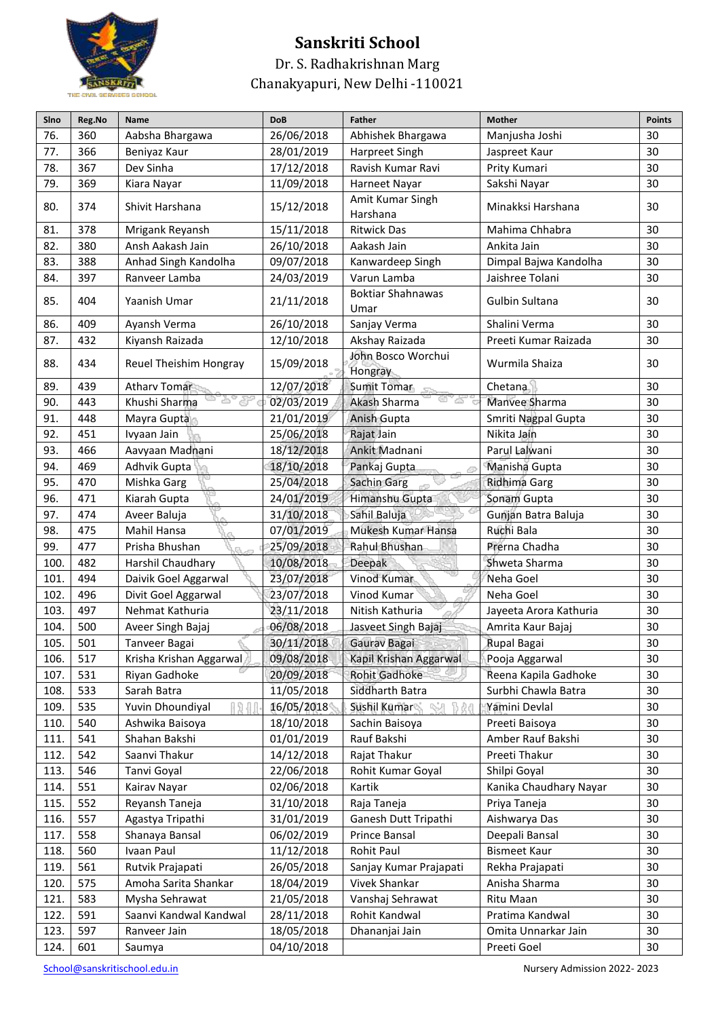

Dr. S. Radhakrishnan Marg Chanakyapuri, New Delhi -110021

| Sino | Reg.No | Name                    | <b>DoB</b> | <b>Father</b>                    | <b>Mother</b>          | <b>Points</b> |
|------|--------|-------------------------|------------|----------------------------------|------------------------|---------------|
| 76.  | 360    | Aabsha Bhargawa         | 26/06/2018 | Abhishek Bhargawa                | Manjusha Joshi         | 30            |
| 77.  | 366    | Beniyaz Kaur            | 28/01/2019 | Harpreet Singh                   | Jaspreet Kaur          | 30            |
| 78.  | 367    | Dev Sinha               | 17/12/2018 | Ravish Kumar Ravi                | Prity Kumari           | 30            |
| 79.  | 369    | Kiara Nayar             | 11/09/2018 | Harneet Nayar                    | Sakshi Nayar           | 30            |
| 80.  | 374    | Shivit Harshana         | 15/12/2018 | Amit Kumar Singh<br>Harshana     | Minakksi Harshana      | 30            |
| 81.  | 378    | Mrigank Reyansh         | 15/11/2018 | <b>Ritwick Das</b>               | Mahima Chhabra         | 30            |
| 82.  | 380    | Ansh Aakash Jain        | 26/10/2018 | Aakash Jain                      | Ankita Jain            | 30            |
| 83.  | 388    | Anhad Singh Kandolha    | 09/07/2018 | Kanwardeep Singh                 | Dimpal Bajwa Kandolha  | 30            |
| 84.  | 397    | Ranveer Lamba           | 24/03/2019 | Varun Lamba                      | Jaishree Tolani        | 30            |
| 85.  | 404    | Yaanish Umar            | 21/11/2018 | <b>Boktiar Shahnawas</b><br>Umar | Gulbin Sultana         | 30            |
| 86.  | 409    | Ayansh Verma            | 26/10/2018 | Sanjay Verma                     | Shalini Verma          | 30            |
| 87.  | 432    | Kiyansh Raizada         | 12/10/2018 | Akshay Raizada                   | Preeti Kumar Raizada   | 30            |
| 88.  | 434    | Reuel Theishim Hongray  | 15/09/2018 | John Bosco Worchui<br>Hongray    | Wurmila Shaiza         | 30            |
| 89.  | 439    | Atharv Tomar            | 12/07/2018 | <b>Sumit Tomar</b>               | Chetana                | 30            |
| 90.  | 443    | Khushi Sharma           | 02/03/2019 | Akash Sharma<br>w                | Manvee Sharma          | 30            |
| 91.  | 448    | Mayra Gupta             | 21/01/2019 | Anish Gupta                      | Smriti Nagpal Gupta    | 30            |
| 92.  | 451    | Ivyaan Jain             | 25/06/2018 | Rajat Jain                       | Nikita Jain            | 30            |
| 93.  | 466    | Aavyaan Madnani         | 18/12/2018 | Ankit Madnani                    | Parul Lalwani          | 30            |
| 94.  | 469    | Adhvik Gupta            | 18/10/2018 | Pankaj Gupta                     | Manisha Gupta          | 30            |
| 95.  | 470    | Mishka Garg             | 25/04/2018 | Sachin Garg                      | Ridhima Garg           | 30            |
| 96.  | 471    | Kiarah Gupta            | 24/01/2019 | Himanshu Gupta                   | Sonam Gupta            | 30            |
| 97.  | 474    | Aveer Baluja            | 31/10/2018 | Sahil Baluja                     | Gunjan Batra Baluja    | 30            |
| 98.  | 475    | Mahil Hansa             | 07/01/2019 | Mukesh Kumar Hansa               | Ruchi Bala             | 30            |
| 99.  | 477    | Prisha Bhushan          | 25/09/2018 | Rahul Bhushan                    | Prerna Chadha          | 30            |
| 100. | 482    | Harshil Chaudhary       | 10/08/2018 | Deepak                           | Shweta Sharma          | 30            |
| 101. | 494    | Daivik Goel Aggarwal    | 23/07/2018 | Vinod Kumar                      | Neha Goel              | 30            |
| 102. | 496    | Divit Goel Aggarwal     | 23/07/2018 | Vinod Kumar                      | Neha Goel              | 30            |
| 103. | 497    | Nehmat Kathuria         | 23/11/2018 | Nitish Kathuria                  | Jayeeta Arora Kathuria | 30            |
| 104. | 500    | Aveer Singh Bajaj       | 06/08/2018 | Jasveet Singh Bajaj              | Amrita Kaur Bajaj      | 30            |
| 105. | 501    | Tanveer Bagai           | 30/11/2018 | Gaurav Bagai                     | Rupal Bagai            | 30            |
| 106. | 517    | Krisha Krishan Aggarwal | 09/08/2018 | Kapil Krishan Aggarwal           | Pooja Aggarwal         | 30            |
| 107. | 531    | Riyan Gadhoke           | 20/09/2018 | <b>Rohit Gadhoke</b>             | Reena Kapila Gadhoke   | 30            |
| 108. | 533    | Sarah Batra             | 11/05/2018 | Siddharth Batra                  | Surbhi Chawla Batra    | 30            |
| 109. | 535    | Yuvin Dhoundiyal        | 16/05/2018 | Sushil Kumar                     | Yamini Devlal          | 30            |
| 110. | 540    | Ashwika Baisoya         | 18/10/2018 | Sachin Baisoya                   | Preeti Baisoya         | 30            |
| 111. | 541    | Shahan Bakshi           | 01/01/2019 | Rauf Bakshi                      | Amber Rauf Bakshi      | 30            |
| 112. | 542    | Saanvi Thakur           | 14/12/2018 | Rajat Thakur                     | Preeti Thakur          | 30            |
| 113. | 546    | Tanvi Goyal             | 22/06/2018 | Rohit Kumar Goyal                | Shilpi Goyal           | 30            |
| 114. | 551    | Kairav Nayar            | 02/06/2018 | Kartik                           | Kanika Chaudhary Nayar | 30            |
| 115. | 552    | Reyansh Taneja          | 31/10/2018 | Raja Taneja                      | Priya Taneja           | 30            |
| 116. | 557    | Agastya Tripathi        | 31/01/2019 | Ganesh Dutt Tripathi             | Aishwarya Das          | 30            |
| 117. | 558    | Shanaya Bansal          | 06/02/2019 | Prince Bansal                    | Deepali Bansal         | 30            |
| 118. | 560    | Ivaan Paul              | 11/12/2018 | Rohit Paul                       | <b>Bismeet Kaur</b>    | 30            |
| 119. | 561    | Rutvik Prajapati        | 26/05/2018 | Sanjay Kumar Prajapati           | Rekha Prajapati        | 30            |
| 120. | 575    | Amoha Sarita Shankar    | 18/04/2019 | Vivek Shankar                    | Anisha Sharma          | 30            |
| 121. | 583    | Mysha Sehrawat          | 21/05/2018 | Vanshaj Sehrawat                 | Ritu Maan              | 30            |
| 122. | 591    | Saanvi Kandwal Kandwal  | 28/11/2018 | Rohit Kandwal                    | Pratima Kandwal        | 30            |
| 123. | 597    | Ranveer Jain            | 18/05/2018 | Dhananjai Jain                   | Omita Unnarkar Jain    | 30            |
| 124. | 601    | Saumya                  | 04/10/2018 |                                  | Preeti Goel            | 30            |
|      |        |                         |            |                                  |                        |               |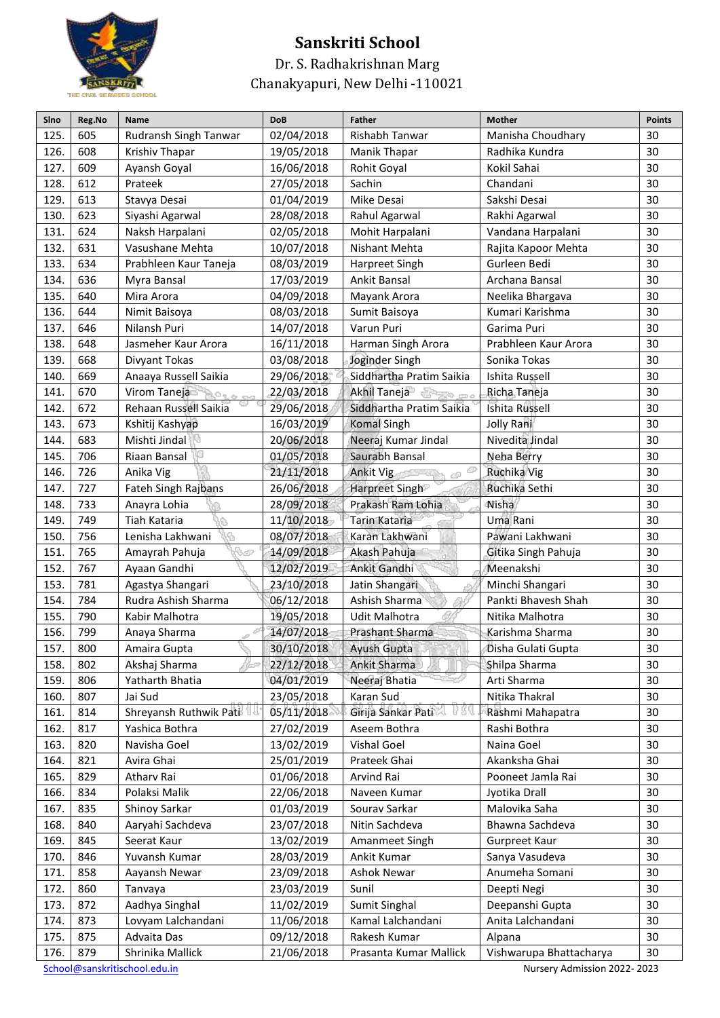

#### Dr. S. Radhakrishnan Marg Chanakyapuri, New Delhi -110021

| Sino | Reg.No                                                       | Name                    | <b>DoB</b> | <b>Father</b>                  | <b>Mother</b>           | <b>Points</b> |  |  |
|------|--------------------------------------------------------------|-------------------------|------------|--------------------------------|-------------------------|---------------|--|--|
| 125. | 605                                                          | Rudransh Singh Tanwar   | 02/04/2018 | Rishabh Tanwar                 | Manisha Choudhary       | 30            |  |  |
| 126. | 608                                                          | Krishiv Thapar          | 19/05/2018 | Manik Thapar                   | Radhika Kundra          | 30            |  |  |
| 127. | 609                                                          | Ayansh Goyal            | 16/06/2018 | Rohit Goyal                    | Kokil Sahai             | 30            |  |  |
| 128. | 612                                                          | Prateek                 | 27/05/2018 | Sachin                         | Chandani                | 30            |  |  |
| 129. | 613                                                          | Stavya Desai            | 01/04/2019 | Mike Desai                     | Sakshi Desai            | 30            |  |  |
| 130. | 623                                                          | Siyashi Agarwal         | 28/08/2018 | Rahul Agarwal                  | Rakhi Agarwal           | 30            |  |  |
| 131. | 624                                                          | Naksh Harpalani         | 02/05/2018 | Mohit Harpalani                | Vandana Harpalani       | 30            |  |  |
| 132. | 631                                                          | Vasushane Mehta         | 10/07/2018 | Nishant Mehta                  | Rajita Kapoor Mehta     | 30            |  |  |
| 133. | 634                                                          | Prabhleen Kaur Taneja   | 08/03/2019 | Harpreet Singh                 | Gurleen Bedi            | 30            |  |  |
| 134. | 636                                                          | Myra Bansal             | 17/03/2019 | Ankit Bansal                   | Archana Bansal          | 30            |  |  |
| 135. | 640                                                          | Mira Arora              | 04/09/2018 | Mayank Arora                   | Neelika Bhargava        | 30            |  |  |
| 136. | 644                                                          | Nimit Baisoya           | 08/03/2018 | Sumit Baisoya                  | Kumari Karishma         | 30            |  |  |
| 137. | 646                                                          | Nilansh Puri            | 14/07/2018 | Varun Puri                     | Garima Puri             | 30            |  |  |
| 138. | 648                                                          | Jasmeher Kaur Arora     | 16/11/2018 | Harman Singh Arora             | Prabhleen Kaur Arora    | 30            |  |  |
| 139. | 668                                                          | Divyant Tokas           | 03/08/2018 | Joginder Singh                 | Sonika Tokas            | 30            |  |  |
| 140. | 669                                                          | Anaaya Russell Saikia   | 29/06/2018 | Siddhartha Pratim Saikia       | Ishita Russell          | 30            |  |  |
| 141. | 670                                                          | Virom Taneja            | 22/03/2018 | Akhil Taneja<br><b>SERVICE</b> | Richa Taneja            | 30            |  |  |
| 142. | 672                                                          | Rehaan Russell Saikia   | 29/06/2018 | Siddhartha Pratim Saikia       | Ishita Russell          | 30            |  |  |
| 143. | 673                                                          | Kshitij Kashyap         | 16/03/2019 | <b>Komal Singh</b>             | Jolly Rani              | 30            |  |  |
| 144. | 683                                                          | Mishti Jindal           | 20/06/2018 | Neeraj Kumar Jindal            | Nivedita Jindal         | 30            |  |  |
| 145. | 706                                                          | Riaan Bansal            | 01/05/2018 | Saurabh Bansal                 | Neha Berry              | 30            |  |  |
| 146. | 726                                                          | Anika Vig               | 21/11/2018 | Ankit Vig                      | Ruchika Vig             | 30            |  |  |
| 147. | 727                                                          | Fateh Singh Rajbans     | 26/06/2018 | Harpreet Singh                 | Ruchika Sethi           | 30            |  |  |
| 148. | 733                                                          | Anayra Lohia            | 28/09/2018 | Prakash Ram Lohia              | Nisha                   | 30            |  |  |
| 149. | 749                                                          | Tiah Kataria            | 11/10/2018 | Tarin Kataria                  | Uma Rani                | 30            |  |  |
| 150. | 756                                                          | Lenisha Lakhwani        | 08/07/2018 | Karan Lakhwani                 | Pawani Lakhwani         | 30            |  |  |
| 151. | 765                                                          | ri se<br>Amayrah Pahuja | 14/09/2018 | Akash Pahuja                   | Gitika Singh Pahuja     | 30            |  |  |
| 152. | 767                                                          | Ayaan Gandhi            | 12/02/2019 | Ankit Gandhi                   | Meenakshi               | 30            |  |  |
| 153. | 781                                                          | Agastya Shangari        | 23/10/2018 | Jatin Shangari                 | Minchi Shangari         | 30            |  |  |
| 154. | 784                                                          | Rudra Ashish Sharma     | 06/12/2018 | Ashish Sharma                  | Pankti Bhavesh Shah     | 30            |  |  |
| 155. | 790                                                          | Kabir Malhotra          | 19/05/2018 | Udit Malhotra                  | Nitika Malhotra         | 30            |  |  |
| 156. | 799                                                          | Anaya Sharma            | 14/07/2018 | Prashant Sharma                | Karishma Sharma         | 30            |  |  |
| 157. | 800                                                          | Amaira Gupta            | 30/10/2018 | <b>Ayush Gupta</b>             | Disha Gulati Gupta      | 30            |  |  |
| 158. | 802                                                          | Akshaj Sharma           | 22/12/2018 | Ankit Sharma                   | Shilpa Sharma           | 30            |  |  |
| 159. | 806                                                          | Yatharth Bhatia         | 04/01/2019 | Neeraj Bhatia                  | Arti Sharma             | 30            |  |  |
| 160. | 807                                                          | Jai Sud                 | 23/05/2018 | Karan Sud                      | Nitika Thakral          | 30            |  |  |
| 161. | 814                                                          | Shreyansh Ruthwik Pati  | 05/11/2018 | Girija Sankar Pati             | Rashmi Mahapatra        | 30            |  |  |
| 162. | 817                                                          | Yashica Bothra          | 27/02/2019 | Aseem Bothra                   | Rashi Bothra            | 30            |  |  |
| 163. | 820                                                          | Navisha Goel            | 13/02/2019 | Vishal Goel                    | Naina Goel              | 30            |  |  |
| 164. | 821                                                          | Avira Ghai              | 25/01/2019 | Prateek Ghai                   | Akanksha Ghai           | 30            |  |  |
| 165. | 829                                                          | Atharv Rai              | 01/06/2018 | Arvind Rai                     | Pooneet Jamla Rai       | 30            |  |  |
| 166. | 834                                                          | Polaksi Malik           | 22/06/2018 | Naveen Kumar                   | Jyotika Drall           | 30            |  |  |
| 167. | 835                                                          | Shinoy Sarkar           | 01/03/2019 | Sourav Sarkar                  | Malovika Saha           | 30            |  |  |
| 168. | 840                                                          | Aaryahi Sachdeva        | 23/07/2018 | Nitin Sachdeva                 | Bhawna Sachdeva         | 30            |  |  |
| 169. | 845                                                          | Seerat Kaur             | 13/02/2019 | Amanmeet Singh                 | Gurpreet Kaur           | 30            |  |  |
| 170. | 846                                                          | Yuvansh Kumar           | 28/03/2019 | Ankit Kumar                    | Sanya Vasudeva          | 30            |  |  |
| 171. | 858                                                          | Aayansh Newar           | 23/09/2018 | Ashok Newar                    | Anumeha Somani          | 30            |  |  |
| 172. | 860                                                          | Tanvaya                 | 23/03/2019 | Sunil                          | Deepti Negi             | 30            |  |  |
| 173. | 872                                                          | Aadhya Singhal          | 11/02/2019 | Sumit Singhal                  | Deepanshi Gupta         | 30            |  |  |
| 174. | 873                                                          | Lovyam Lalchandani      | 11/06/2018 | Kamal Lalchandani              | Anita Lalchandani       | 30            |  |  |
| 175. | 875                                                          | Advaita Das             | 09/12/2018 | Rakesh Kumar                   | Alpana                  | 30            |  |  |
| 176. | 879                                                          | Shrinika Mallick        | 21/06/2018 | Prasanta Kumar Mallick         | Vishwarupa Bhattacharya | 30            |  |  |
|      | School@sanskritischool.edu.in<br>Nursery Admission 2022-2023 |                         |            |                                |                         |               |  |  |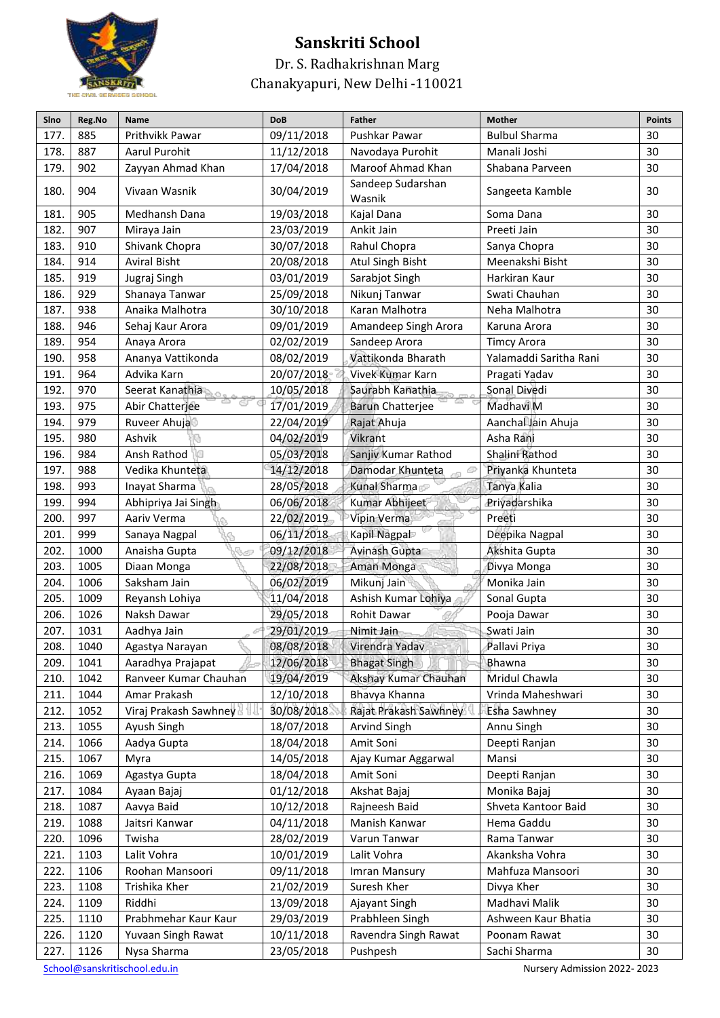

Dr. S. Radhakrishnan Marg Chanakyapuri, New Delhi -110021

| Sino | Reg.No | Name                  | <b>DoB</b> | <b>Father</b>               | <b>Mother</b>          | <b>Points</b> |
|------|--------|-----------------------|------------|-----------------------------|------------------------|---------------|
| 177. | 885    | Prithvikk Pawar       | 09/11/2018 | Pushkar Pawar               | <b>Bulbul Sharma</b>   | 30            |
| 178. | 887    | Aarul Purohit         | 11/12/2018 | Navodaya Purohit            | Manali Joshi           | 30            |
| 179  | 902    | Zayyan Ahmad Khan     | 17/04/2018 | Maroof Ahmad Khan           | Shabana Parveen        | 30            |
| 180. | 904    | Vivaan Wasnik         | 30/04/2019 | Sandeep Sudarshan<br>Wasnik | Sangeeta Kamble        | 30            |
| 181. | 905    | Medhansh Dana         | 19/03/2018 | Kajal Dana                  | Soma Dana              | 30            |
| 182. | 907    | Miraya Jain           | 23/03/2019 | Ankit Jain                  | Preeti Jain            | 30            |
| 183  | 910    | Shivank Chopra        | 30/07/2018 | Rahul Chopra                | Sanya Chopra           | 30            |
| 184. | 914    | <b>Aviral Bisht</b>   | 20/08/2018 | Atul Singh Bisht            | Meenakshi Bisht        | 30            |
| 185. | 919    | Jugraj Singh          | 03/01/2019 | Sarabjot Singh              | Harkiran Kaur          | 30            |
| 186. | 929    | Shanaya Tanwar        | 25/09/2018 | Nikunj Tanwar               | Swati Chauhan          | 30            |
| 187. | 938    | Anaika Malhotra       | 30/10/2018 | Karan Malhotra              | Neha Malhotra          | 30            |
| 188. | 946    | Sehaj Kaur Arora      | 09/01/2019 | Amandeep Singh Arora        | Karuna Arora           | 30            |
| 189. | 954    | Anaya Arora           | 02/02/2019 | Sandeep Arora               | <b>Timcy Arora</b>     | 30            |
| 190. | 958    | Ananya Vattikonda     | 08/02/2019 | Vattikonda Bharath          | Yalamaddi Saritha Rani | 30            |
| 191. | 964    | Advika Karn           | 20/07/2018 | Vivek Kumar Karn            | Pragati Yadav          | 30            |
| 192. | 970    | Seerat Kanathia       | 10/05/2018 | Saurabh Kanathia            | Sonal Divedi           | 30            |
| 193. | 975    | Abir Chatterjee       | 17/01/2019 | <b>Barun Chatterjee</b>     | Madhavi M              | 30            |
| 194. | 979    | Ruveer Ahuja          | 22/04/2019 | Rajat Ahuja                 | Aanchal Jain Ahuja     | 30            |
| 195. | 980    | Ashvik                | 04/02/2019 | Vikrant                     | Asha Rani              | 30            |
| 196. | 984    | Ansh Rathod           | 05/03/2018 | Sanjiv Kumar Rathod         | Shalini Rathod         | 30            |
| 197. | 988    | Vedika Khunteta       | 14/12/2018 | Damodar Khunteta            | Priyanka Khunteta      | 30            |
| 198. | 993    | Inayat Sharma         | 28/05/2018 | Kunal Sharma                | Tanya Kalia            | 30            |
| 199. | 994    | Abhipriya Jai Singh   | 06/06/2018 | Kumar Abhijeet              | Priyadarshika          | 30            |
| 200. | 997    | Aariv Verma           | 22/02/2019 | Vipin Verma                 | Preeti                 | 30            |
| 201. | 999    | Sanaya Nagpal         | 06/11/2018 | Kapil Nagpal                | Deepika Nagpal         | 30            |
| 202. | 1000   | Anaisha Gupta<br>A    | 09/12/2018 | Avinash Gupta               | Akshita Gupta          | 30            |
| 203. | 1005   | Diaan Monga           | 22/08/2018 | Aman Monga                  | Divya Monga            | 30            |
| 204. | 1006   | Saksham Jain          | 06/02/2019 | Mikunj Jain                 | Monika Jain            | 30            |
| 205. | 1009   | Reyansh Lohiya        | 11/04/2018 | Ashish Kumar Lohiya         | Sonal Gupta            | 30            |
| 206. | 1026   | Naksh Dawar           | 29/05/2018 | Rohit Dawar                 | Pooja Dawar            | 30            |
| 207. | 1031   | Aadhya Jain           | 29/01/2019 | Nimit Jain                  | Swati Jain             | 30            |
| 208. | 1040   | Agastya Narayan       | 08/08/2018 | Virendra Yadav              | Pallavi Priya          | 30            |
| 209. | 1041   | Aaradhya Prajapat     | 12/06/2018 | <b>Bhagat Singh</b>         | Bhawna                 | 30            |
| 210. | 1042   | Ranveer Kumar Chauhan | 19/04/2019 | Akshay Kumar Chauhan        | Mridul Chawla          | 30            |
| 211. | 1044   | Amar Prakash          | 12/10/2018 | Bhavya Khanna               | Vrinda Maheshwari      | 30            |
| 212. | 1052   | Viraj Prakash Sawhney | 30/08/2018 | Rajat Prakash Sawhney       | Esha Sawhney           | 30            |
| 213. | 1055   | Ayush Singh           | 18/07/2018 | Arvind Singh                | Annu Singh             | 30            |
| 214. | 1066   | Aadya Gupta           | 18/04/2018 | Amit Soni                   | Deepti Ranjan          | 30            |
| 215. | 1067   | Myra                  | 14/05/2018 | Ajay Kumar Aggarwal         | Mansi                  | 30            |
| 216. | 1069   | Agastya Gupta         | 18/04/2018 | Amit Soni                   | Deepti Ranjan          | 30            |
| 217. | 1084   | Ayaan Bajaj           | 01/12/2018 | Akshat Bajaj                | Monika Bajaj           | 30            |
| 218. | 1087   | Aavya Baid            | 10/12/2018 | Rajneesh Baid               | Shveta Kantoor Baid    | 30            |
| 219. | 1088   | Jaitsri Kanwar        | 04/11/2018 | Manish Kanwar               | Hema Gaddu             | 30            |
| 220. | 1096   | Twisha                | 28/02/2019 | Varun Tanwar                | Rama Tanwar            | 30            |
| 221. | 1103   | Lalit Vohra           | 10/01/2019 | Lalit Vohra                 | Akanksha Vohra         | 30            |
| 222. | 1106   | Roohan Mansoori       | 09/11/2018 | Imran Mansury               | Mahfuza Mansoori       | 30            |
| 223. | 1108   | Trishika Kher         | 21/02/2019 | Suresh Kher                 | Divya Kher             | 30            |
| 224. | 1109   | Riddhi                | 13/09/2018 | Ajayant Singh               | Madhavi Malik          | 30            |
| 225. | 1110   | Prabhmehar Kaur Kaur  | 29/03/2019 | Prabhleen Singh             | Ashween Kaur Bhatia    | 30            |
| 226. | 1120   | Yuvaan Singh Rawat    | 10/11/2018 | Ravendra Singh Rawat        | Poonam Rawat           | 30            |
| 227. | 1126   | Nysa Sharma           | 23/05/2018 | Pushpesh                    | Sachi Sharma           | 30            |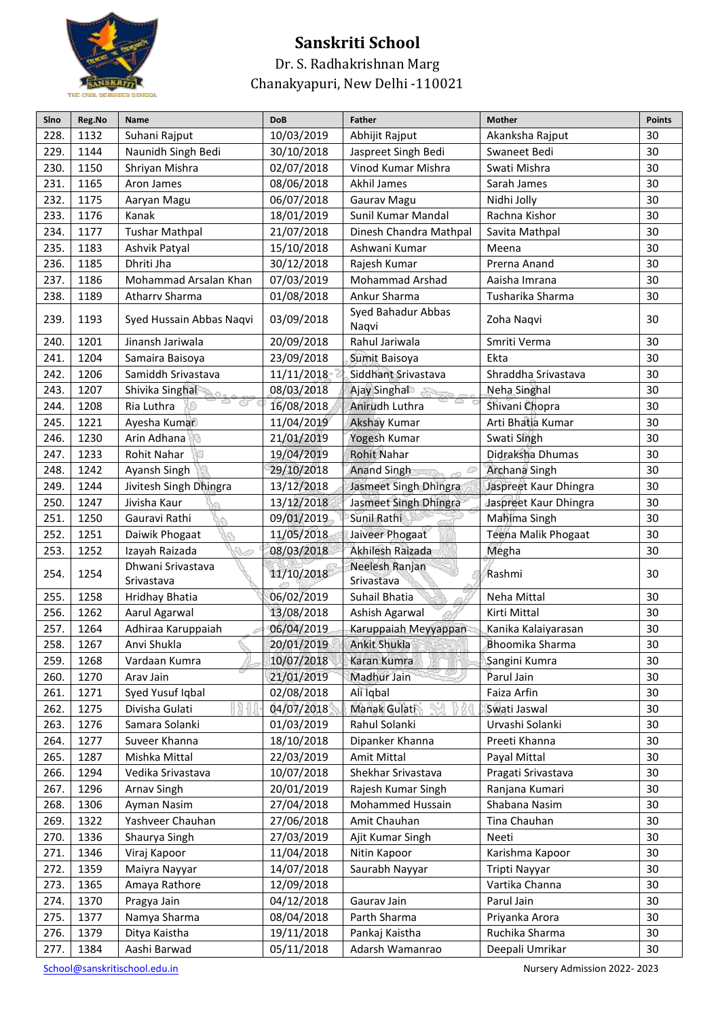

Dr. S. Radhakrishnan Marg Chanakyapuri, New Delhi -110021

| Sino | Reg.No | Name                            | <b>DoB</b> | <b>Father</b>                | <b>Mother</b>         | <b>Points</b> |
|------|--------|---------------------------------|------------|------------------------------|-----------------------|---------------|
| 228. | 1132   | Suhani Rajput                   | 10/03/2019 | Abhijit Rajput               | Akanksha Rajput       | 30            |
| 229. | 1144   | Naunidh Singh Bedi              | 30/10/2018 | Jaspreet Singh Bedi          | Swaneet Bedi          | 30            |
| 230. | 1150   | Shriyan Mishra                  | 02/07/2018 | Vinod Kumar Mishra           | Swati Mishra          | 30            |
| 231. | 1165   | Aron James                      | 08/06/2018 | Akhil James                  | Sarah James           | 30            |
| 232. | 1175   | Aaryan Magu                     | 06/07/2018 | Gaurav Magu                  | Nidhi Jolly           | 30            |
| 233. | 1176   | Kanak                           | 18/01/2019 | Sunil Kumar Mandal           | Rachna Kishor         | 30            |
| 234. | 1177   | <b>Tushar Mathpal</b>           | 21/07/2018 | Dinesh Chandra Mathpal       | Savita Mathpal        | 30            |
| 235. | 1183   | Ashvik Patyal                   | 15/10/2018 | Ashwani Kumar                | Meena                 | 30            |
| 236. | 1185   | Dhriti Jha                      | 30/12/2018 | Rajesh Kumar                 | Prerna Anand          | 30            |
| 237. | 1186   | Mohammad Arsalan Khan           | 07/03/2019 | <b>Mohammad Arshad</b>       | Aaisha Imrana         | 30            |
| 238. | 1189   | Atharry Sharma                  | 01/08/2018 | Ankur Sharma                 | Tusharika Sharma      | 30            |
| 239. | 1193   | Syed Hussain Abbas Naqvi        | 03/09/2018 | Syed Bahadur Abbas<br>Naqvi  | Zoha Naqvi            | 30            |
| 240. | 1201   | Jinansh Jariwala                | 20/09/2018 | Rahul Jariwala               | Smriti Verma          | 30            |
| 241. | 1204   | Samaira Baisoya                 | 23/09/2018 | Sumit Baisoya                | Ekta                  | 30            |
| 242. | 1206   | Samiddh Srivastava              | 11/11/2018 | Siddhant Srivastava          | Shraddha Srivastava   | 30            |
| 243. | 1207   | Shivika Singhal                 | 08/03/2018 | Ajay Singhal<br>Same.        | Neha Singhal          | 30            |
| 244. | 1208   | Ria Luthra                      | 16/08/2018 | Anirudh Luthra               | Shivani Chopra        | 30            |
| 245. | 1221   | Ayesha Kumar                    | 11/04/2019 | <b>Akshay Kumar</b>          | Arti Bhatia Kumar     | 30            |
| 246. | 1230   | Arin Adhana                     | 21/01/2019 | Yogesh Kumar                 | Swati Singh           | 30            |
| 247. | 1233   | Rohit Nahar                     | 19/04/2019 | <b>Rohit Nahar</b>           | Didraksha Dhumas      | 30            |
| 248. | 1242   | Ayansh Singh                    | 29/10/2018 | <b>Anand Singh</b>           | Archana Singh         | 30            |
| 249. | 1244   | Jivitesh Singh Dhingra          | 13/12/2018 | Jasmeet Singh Dhingra        | Jaspreet Kaur Dhingra | 30            |
| 250. | 1247   | Jivisha Kaur                    | 13/12/2018 | Jasmeet Singh Dhingra        | Jaspreet Kaur Dhingra | 30            |
| 251. | 1250   | Gauravi Rathi                   | 09/01/2019 | Sunil Rathi                  | Mahima Singh          | 30            |
| 252. | 1251   | Daiwik Phogaat                  | 11/05/2018 | Jaiveer Phogaat              | Teena Malik Phogaat   | 30            |
| 253. | 1252   | Izayah Raizada                  | 08/03/2018 | Akhilesh Raizada             | Megha                 | 30            |
| 254. | 1254   | Dhwani Srivastava<br>Srivastava | 11/10/2018 | Neelesh Ranjan<br>Srivastava | Rashmi                | 30            |
| 255. | 1258   | Hridhay Bhatia                  | 06/02/2019 | Suhail Bhatia                | Neha Mittal           | 30            |
| 256. | 1262   | Aarul Agarwal                   | 13/08/2018 | Ashish Agarwal               | Kirti Mittal          | 30            |
| 257. | 1264   | Adhiraa Karuppaiah              | 06/04/2019 | Karuppaiah Meyyappan         | Kanika Kalaiyarasan   | 30            |
| 258. | 1267   | Anvi Shukla                     | 20/01/2019 | <b>Ankit Shukla</b>          | Bhoomika Sharma       | 30            |
| 259. | 1268   | Vardaan Kumra                   | 10/07/2018 | Karan Kumra                  | Sangini Kumra         | 30            |
| 260. | 1270   | Arav Jain                       | 21/01/2019 | Madhur Jain                  | Parul Jain            | 30            |
| 261. | 1271   | Syed Yusuf Iqbal                | 02/08/2018 | Ali Iqbal                    | Faiza Arfin           | 30            |
| 262. | 1275   | Divisha Gulati                  | 04/07/2018 | Manak Gulati                 | Swati Jaswal          | 30            |
| 263. | 1276   | Samara Solanki                  | 01/03/2019 | Rahul Solanki                | Urvashi Solanki       | 30            |
| 264. | 1277   | Suveer Khanna                   | 18/10/2018 | Dipanker Khanna              | Preeti Khanna         | 30            |
| 265. | 1287   | Mishka Mittal                   | 22/03/2019 | Amit Mittal                  | Payal Mittal          | 30            |
| 266. | 1294   | Vedika Srivastava               | 10/07/2018 | Shekhar Srivastava           | Pragati Srivastava    | 30            |
| 267. | 1296   | <b>Arnav Singh</b>              | 20/01/2019 | Rajesh Kumar Singh           | Ranjana Kumari        | 30            |
| 268. | 1306   | Ayman Nasim                     | 27/04/2018 | Mohammed Hussain             | Shabana Nasim         | 30            |
| 269. | 1322   | Yashveer Chauhan                | 27/06/2018 | Amit Chauhan                 | Tina Chauhan          | 30            |
| 270. | 1336   | Shaurya Singh                   | 27/03/2019 | Ajit Kumar Singh             | Neeti                 | 30            |
| 271. | 1346   | Viraj Kapoor                    | 11/04/2018 | Nitin Kapoor                 | Karishma Kapoor       | 30            |
| 272. | 1359   | Maiyra Nayyar                   | 14/07/2018 | Saurabh Nayyar               | Tripti Nayyar         | 30            |
| 273. | 1365   | Amaya Rathore                   | 12/09/2018 |                              | Vartika Channa        | 30            |
| 274. | 1370   | Pragya Jain                     | 04/12/2018 | Gaurav Jain                  | Parul Jain            | 30            |
| 275. | 1377   | Namya Sharma                    | 08/04/2018 | Parth Sharma                 | Priyanka Arora        | 30            |
| 276. | 1379   | Ditya Kaistha                   | 19/11/2018 | Pankaj Kaistha               | Ruchika Sharma        | 30            |
| 277. | 1384   | Aashi Barwad                    | 05/11/2018 | Adarsh Wamanrao              | Deepali Umrikar       | 30            |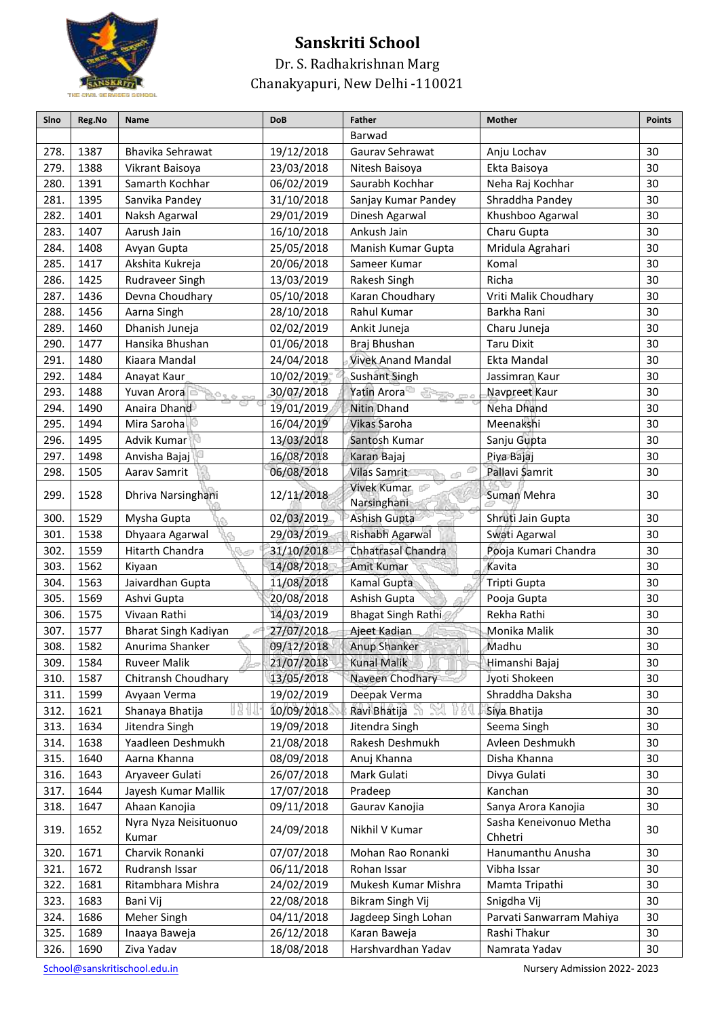

#### Dr. S. Radhakrishnan Marg Chanakyapuri, New Delhi -110021

| Sino | Reg.No | Name                           | <b>DoB</b> | <b>Father</b>                       | Mother                            | <b>Points</b> |
|------|--------|--------------------------------|------------|-------------------------------------|-----------------------------------|---------------|
|      |        |                                |            | Barwad                              |                                   |               |
| 278. | 1387   | Bhavika Sehrawat               | 19/12/2018 | Gaurav Sehrawat                     | Anju Lochav                       | 30            |
| 279. | 1388   | Vikrant Baisoya                | 23/03/2018 | Nitesh Baisoya                      | Ekta Baisoya                      | 30            |
| 280. | 1391   | Samarth Kochhar                | 06/02/2019 | Saurabh Kochhar                     | Neha Raj Kochhar                  | 30            |
| 281. | 1395   | Sanvika Pandey                 | 31/10/2018 | Sanjay Kumar Pandey                 | Shraddha Pandey                   | 30            |
| 282. | 1401   | Naksh Agarwal                  | 29/01/2019 | Dinesh Agarwal                      | Khushboo Agarwal                  | 30            |
| 283. | 1407   | Aarush Jain                    | 16/10/2018 | Ankush Jain                         | Charu Gupta                       | 30            |
| 284. | 1408   | Avyan Gupta                    | 25/05/2018 | Manish Kumar Gupta                  | Mridula Agrahari                  | 30            |
| 285. | 1417   | Akshita Kukreja                | 20/06/2018 | Sameer Kumar                        | Komal                             | 30            |
| 286. | 1425   | Rudraveer Singh                | 13/03/2019 | Rakesh Singh                        | Richa                             | 30            |
| 287. | 1436   | Devna Choudhary                | 05/10/2018 | Karan Choudhary                     | Vriti Malik Choudhary             | 30            |
| 288. | 1456   | Aarna Singh                    | 28/10/2018 | Rahul Kumar                         | Barkha Rani                       | 30            |
| 289. | 1460   | Dhanish Juneja                 | 02/02/2019 | Ankit Juneja                        | Charu Juneja                      | 30            |
| 290. | 1477   | Hansika Bhushan                | 01/06/2018 | Braj Bhushan                        | <b>Taru Dixit</b>                 | 30            |
| 291. | 1480   | Kiaara Mandal                  | 24/04/2018 | <b>Vivek Anand Mandal</b>           | Ekta Mandal                       | 30            |
| 292. | 1484   | Anayat Kaur                    | 10/02/2019 | <b>Sushant Singh</b>                | Jassimran Kaur                    | 30            |
| 293. | 1488   | Yuvan Arora                    | 30/07/2018 | <b>Yatin Arora</b><br><b>SEPTER</b> | Navpreet Kaur                     | 30            |
| 294. | 1490   | Anaira Dhand                   | 19/01/2019 | <b>Nitin Dhand</b>                  | Neha Dhand                        | 30            |
| 295. | 1494   | Mira Saroha                    | 16/04/2019 | Vikas Saroha                        | Meenakshi                         | 30            |
| 296. | 1495   | Advik Kumar                    | 13/03/2018 | Santosh Kumar                       | Sanju Gupta                       | 30            |
| 297. | 1498   | Anvisha Bajaj                  | 16/08/2018 | Karan Bajaj                         | Piya Bajaj                        | 30            |
| 298. | 1505   | Aarav Samrit                   | 06/08/2018 | <b>Vilas Samrit</b>                 | Pallavi Samrit                    | 30            |
| 299. | 1528   | Dhriva Narsinghani             | 12/11/2018 | Vivek Kumar<br>Narsinghani          | Suman Mehra                       | 30            |
| 300. | 1529   | Mysha Gupta                    | 02/03/2019 | <b>Ashish Gupta</b>                 | Shruti Jain Gupta                 | 30            |
| 301. | 1538   | Dhyaara Agarwal                | 29/03/2019 | Rishabh Agarwal                     | Swati Agarwal                     | 30            |
| 302. | 1559   | Hitarth Chandra                | 31/10/2018 | <b>Chhatrasal Chandra</b>           | Pooja Kumari Chandra              | 30            |
| 303. | 1562   | Kiyaan                         | 14/08/2018 | Amit Kumar                          | Kavita                            | 30            |
| 304. | 1563   | Jaivardhan Gupta               | 11/08/2018 | Kamal Gupta                         | Tripti Gupta                      | 30            |
| 305. | 1569   | Ashvi Gupta                    | 20/08/2018 | Ashish Gupta                        | Pooja Gupta                       | 30            |
| 306. | 1575   | Vivaan Rathi                   | 14/03/2019 | Bhagat Singh Rathi                  | Rekha Rathi                       | 30            |
| 307. | 1577   | Bharat Singh Kadiyan           | 27/07/2018 | Ajeet Kadian                        | Monika Malik                      | 30            |
| 308. | 1582   | Anurima Shanker                | 09/12/2018 | Anup Shanker                        | Madhu                             | 30            |
| 309. | 1584   | <b>Ruveer Malik</b>            | 21/07/2018 | <b>Kunal Malik</b>                  | Himanshi Bajaj                    | 30            |
| 310. | 1587   | Chitransh Choudhary            | 13/05/2018 | Naveen Chodhary                     | Jyoti Shokeen                     | 30            |
| 311. | 1599   | Avyaan Verma                   | 19/02/2019 | Deepak Verma                        | Shraddha Daksha                   | 30            |
| 312. | 1621   | Shanaya Bhatija                | 10/09/2018 | Ravi Bhatija                        | Siya Bhatija                      | 30            |
| 313. | 1634   | Jitendra Singh                 | 19/09/2018 | Jitendra Singh                      | Seema Singh                       | 30            |
| 314. | 1638   | Yaadleen Deshmukh              | 21/08/2018 | Rakesh Deshmukh                     | Avleen Deshmukh                   | 30            |
| 315. | 1640   | Aarna Khanna                   | 08/09/2018 | Anuj Khanna                         | Disha Khanna                      | 30            |
| 316. | 1643   | Aryaveer Gulati                | 26/07/2018 | Mark Gulati                         | Divya Gulati                      | 30            |
| 317. | 1644   | Jayesh Kumar Mallik            | 17/07/2018 | Pradeep                             | Kanchan                           | 30            |
| 318. | 1647   | Ahaan Kanojia                  | 09/11/2018 | Gaurav Kanojia                      | Sanya Arora Kanojia               | 30            |
| 319. | 1652   | Nyra Nyza Neisituonuo<br>Kumar | 24/09/2018 | Nikhil V Kumar                      | Sasha Keneivonuo Metha<br>Chhetri | 30            |
| 320. | 1671   | Charvik Ronanki                | 07/07/2018 | Mohan Rao Ronanki                   | Hanumanthu Anusha                 | 30            |
| 321. | 1672   | Rudransh Issar                 | 06/11/2018 | Rohan Issar                         | Vibha Issar                       | 30            |
| 322. | 1681   | Ritambhara Mishra              | 24/02/2019 | Mukesh Kumar Mishra                 | Mamta Tripathi                    | 30            |
| 323. | 1683   | Bani Vij                       | 22/08/2018 | Bikram Singh Vij                    | Snigdha Vij                       | 30            |
| 324. | 1686   | Meher Singh                    | 04/11/2018 | Jagdeep Singh Lohan                 | Parvati Sanwarram Mahiya          | 30            |
| 325. | 1689   | Inaaya Baweja                  | 26/12/2018 | Karan Baweja                        | Rashi Thakur                      | 30            |
| 326. | 1690   | Ziva Yadav                     | 18/08/2018 | Harshvardhan Yadav                  | Namrata Yadav                     | 30            |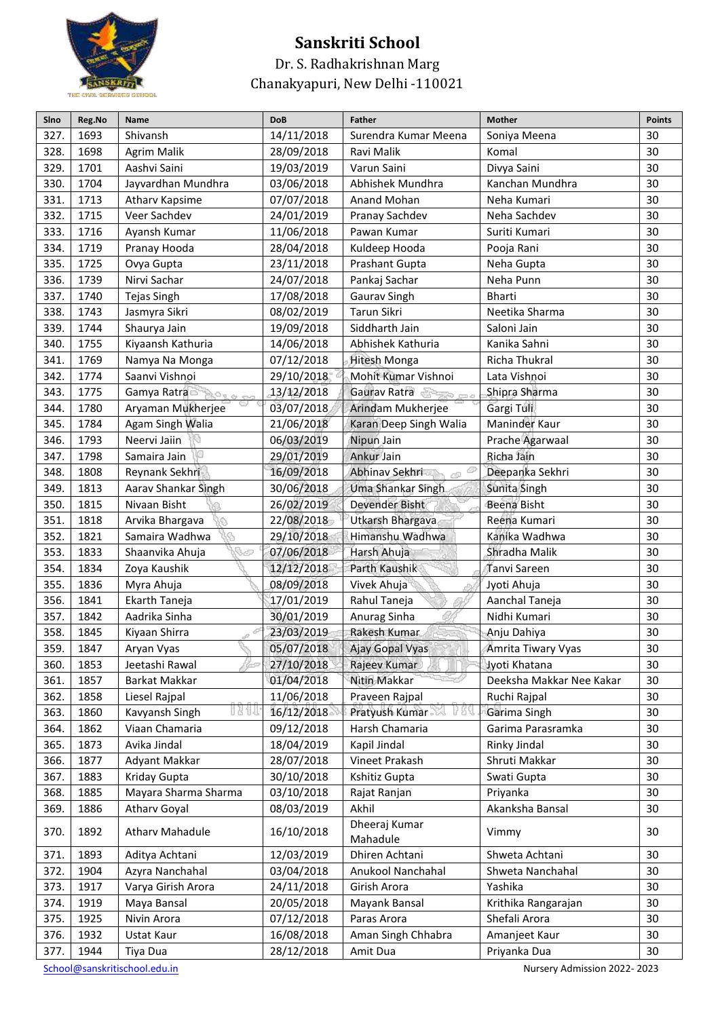

Dr. S. Radhakrishnan Marg Chanakyapuri, New Delhi -110021

| Sino | Reg.No | Name                    | <b>DoB</b> | <b>Father</b>             | <b>Mother</b>            | <b>Points</b> |
|------|--------|-------------------------|------------|---------------------------|--------------------------|---------------|
| 327. | 1693   | Shivansh                | 14/11/2018 | Surendra Kumar Meena      | Soniya Meena             | 30            |
| 328. | 1698   | <b>Agrim Malik</b>      | 28/09/2018 | Ravi Malik                | Komal                    | 30            |
| 329. | 1701   | Aashvi Saini            | 19/03/2019 | Varun Saini               | Divya Saini              | 30            |
| 330. | 1704   | Jayvardhan Mundhra      | 03/06/2018 | Abhishek Mundhra          | Kanchan Mundhra          | 30            |
| 331. | 1713   | Atharv Kapsime          | 07/07/2018 | Anand Mohan               | Neha Kumari              | 30            |
| 332. | 1715   | Veer Sachdev            | 24/01/2019 | Pranay Sachdev            | Neha Sachdev             | 30            |
| 333. | 1716   | Ayansh Kumar            | 11/06/2018 | Pawan Kumar               | Suriti Kumari            | 30            |
| 334. | 1719   | Pranay Hooda            | 28/04/2018 | Kuldeep Hooda             | Pooja Rani               | 30            |
| 335. | 1725   | Ovya Gupta              | 23/11/2018 | Prashant Gupta            | Neha Gupta               | 30            |
| 336. | 1739   | Nirvi Sachar            | 24/07/2018 | Pankaj Sachar             | Neha Punn                | 30            |
| 337. | 1740   | Tejas Singh             | 17/08/2018 | Gaurav Singh              | Bharti                   | 30            |
| 338. | 1743   | Jasmyra Sikri           | 08/02/2019 | Tarun Sikri               | Neetika Sharma           | 30            |
| 339. | 1744   | Shaurya Jain            | 19/09/2018 | Siddharth Jain            | Saloni Jain              | 30            |
| 340. | 1755   | Kiyaansh Kathuria       | 14/06/2018 | Abhishek Kathuria         | Kanika Sahni             | 30            |
| 341. | 1769   | Namya Na Monga          | 07/12/2018 | Hitesh Monga              | Richa Thukral            | 30            |
| 342. | 1774   | Saanvi Vishnoi          | 29/10/2018 | Mohit Kumar Vishnoi       | Lata Vishnoi             | 30            |
| 343. | 1775   | Gamya Ratra             | 13/12/2018 | Gaurav Ratra              | Shipra Sharma            | 30            |
| 344. | 1780   | Aryaman Mukherjee       | 03/07/2018 | Arindam Mukherjee         | Gargi Tuli               | 30            |
| 345. | 1784   | Agam Singh Walia        | 21/06/2018 | Karan Deep Singh Walia    | Maninder Kaur            | 30            |
| 346. | 1793   | Neervi Jaiin            | 06/03/2019 | Nipun Jain                | Prache Agarwaal          | 30            |
| 347. | 1798   | Samaira Jain            | 29/01/2019 | Ankur Jain                | Richa Jain               | 30            |
| 348. | 1808   | Reynank Sekhri          | 16/09/2018 | Abhinav Sekhri            | Deepanka Sekhri          | 30            |
| 349. | 1813   | Aarav Shankar Singh     | 30/06/2018 | Uma Shankar Singh         | Sunita Singh             | 30            |
| 350. | 1815   | Nivaan Bisht            | 26/02/2019 | Devender Bisht            | Beena Bisht              | 30            |
| 351. | 1818   | Arvika Bhargava         | 22/08/2018 | Utkarsh Bhargava          | Reena Kumari             | 30            |
| 352. | 1821   | Samaira Wadhwa          | 29/10/2018 | Himanshu Wadhwa           | Kanika Wadhwa            | 30            |
| 353. | 1833   | Shaanvika Ahuja<br>n se | 07/06/2018 | Harsh Ahuja               | Shradha Malik            | 30            |
| 354. | 1834   | Zoya Kaushik            | 12/12/2018 | Parth Kaushik             | Tanvi Sareen             | 30            |
| 355. | 1836   | Myra Ahuja              | 08/09/2018 | Vivek Ahuja               | Jyoti Ahuja              | 30            |
| 356. | 1841   | Ekarth Taneja           | 17/01/2019 | Rahul Taneja              | Aanchal Taneja           | 30            |
| 357. | 1842   | Aadrika Sinha           | 30/01/2019 | Anurag Sinha              | Nidhi Kumari             | 30            |
| 358. | 1845   | Kiyaan Shirra           | 23/03/2019 | Rakesh Kumar              | Anju Dahiya              | 30            |
| 359. | 1847   | Aryan Vyas              | 05/07/2018 | <b>Ajay Gopal Vyas</b>    | Amrita Tiwary Vyas       | 30            |
| 360. | 1853   | Jeetashi Rawal          | 27/10/2018 | Rajeev Kumar              | Jyoti Khatana            | 30            |
| 361. | 1857   | Barkat Makkar           | 01/04/2018 | Nitin Makkar              | Deeksha Makkar Nee Kakar | 30            |
| 362. | 1858   | Liesel Rajpal           | 11/06/2018 | Praveen Rajpal            | Ruchi Rajpal             | 30            |
| 363. | 1860   | Kavyansh Singh          | 16/12/2018 | Pratyush Kumar            | Garima Singh             | 30            |
| 364. | 1862   | Viaan Chamaria          | 09/12/2018 | Harsh Chamaria            | Garima Parasramka        | 30            |
| 365. | 1873   | Avika Jindal            | 18/04/2019 | Kapil Jindal              | Rinky Jindal             | 30            |
| 366. | 1877   | Adyant Makkar           | 28/07/2018 | Vineet Prakash            | Shruti Makkar            | 30            |
| 367. | 1883   | Kriday Gupta            | 30/10/2018 | Kshitiz Gupta             | Swati Gupta              | 30            |
| 368. | 1885   | Mayara Sharma Sharma    | 03/10/2018 | Rajat Ranjan              | Priyanka                 | 30            |
| 369. | 1886   | <b>Atharv Goyal</b>     | 08/03/2019 | Akhil                     | Akanksha Bansal          | 30            |
| 370. | 1892   | <b>Atharv Mahadule</b>  | 16/10/2018 | Dheeraj Kumar<br>Mahadule | Vimmy                    | 30            |
| 371. | 1893   | Aditya Achtani          | 12/03/2019 | Dhiren Achtani            | Shweta Achtani           | 30            |
| 372. | 1904   | Azyra Nanchahal         | 03/04/2018 | Anukool Nanchahal         | Shweta Nanchahal         | 30            |
| 373. | 1917   | Varya Girish Arora      | 24/11/2018 | Girish Arora              | Yashika                  | 30            |
| 374. | 1919   | Maya Bansal             | 20/05/2018 | Mayank Bansal             | Krithika Rangarajan      | 30            |
| 375. | 1925   | Nivin Arora             | 07/12/2018 | Paras Arora               | Shefali Arora            | 30            |
| 376. | 1932   | Ustat Kaur              | 16/08/2018 | Aman Singh Chhabra        | Amanjeet Kaur            | 30            |
| 377. | 1944   | Tiya Dua                | 28/12/2018 | Amit Dua                  | Priyanka Dua             | 30            |
|      |        |                         |            |                           |                          |               |